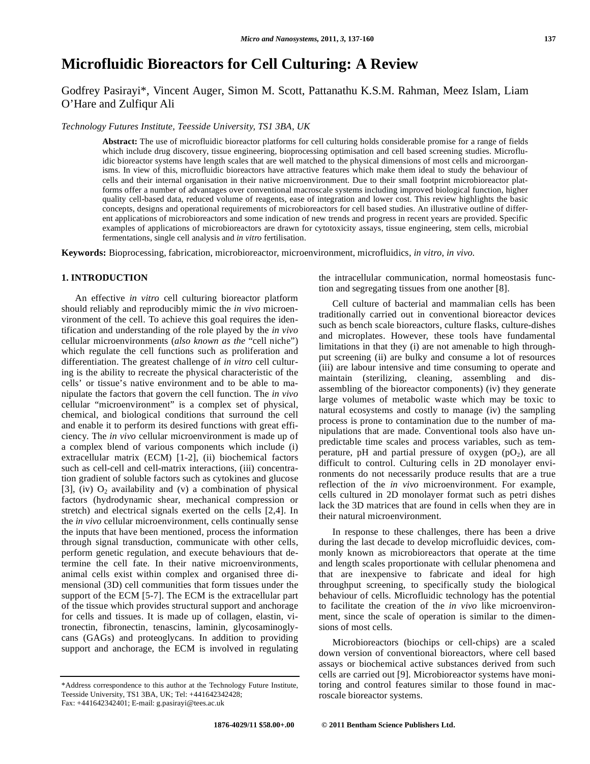# **Microfluidic Bioreactors for Cell Culturing: A Review**

Godfrey Pasirayi\*, Vincent Auger, Simon M. Scott, Pattanathu K.S.M. Rahman, Meez Islam, Liam O'Hare and Zulfiqur Ali

*Technology Futures Institute, Teesside University, TS1 3BA, UK* 

**Abstract:** The use of microfluidic bioreactor platforms for cell culturing holds considerable promise for a range of fields which include drug discovery, tissue engineering, bioprocessing optimisation and cell based screening studies. Microfluidic bioreactor systems have length scales that are well matched to the physical dimensions of most cells and microorganisms. In view of this, microfluidic bioreactors have attractive features which make them ideal to study the behaviour of cells and their internal organisation in their native microenvironment. Due to their small footprint microbioreactor platforms offer a number of advantages over conventional macroscale systems including improved biological function, higher quality cell-based data, reduced volume of reagents, ease of integration and lower cost. This review highlights the basic concepts, designs and operational requirements of microbioreactors for cell based studies. An illustrative outline of different applications of microbioreactors and some indication of new trends and progress in recent years are provided. Specific examples of applications of microbioreactors are drawn for cytotoxicity assays, tissue engineering, stem cells, microbial fermentations, single cell analysis and *in vitro* fertilisation.

**Keywords:** Bioprocessing, fabrication, microbioreactor, microenvironment, microfluidics, *in vitro*, *in vivo.*

# **1. INTRODUCTION**

An effective *in vitro* cell culturing bioreactor platform should reliably and reproducibly mimic the *in vivo* microenvironment of the cell. To achieve this goal requires the identification and understanding of the role played by the *in vivo* cellular microenvironments (*also known as the* "cell niche") which regulate the cell functions such as proliferation and differentiation. The greatest challenge of *in vitro* cell culturing is the ability to recreate the physical characteristic of the cells' or tissue's native environment and to be able to manipulate the factors that govern the cell function. The *in vivo* cellular "microenvironment" is a complex set of physical, chemical, and biological conditions that surround the cell and enable it to perform its desired functions with great efficiency. The *in vivo* cellular microenvironment is made up of a complex blend of various components which include (i) extracellular matrix (ECM) [1-2], (ii) biochemical factors such as cell-cell and cell-matrix interactions, (iii) concentration gradient of soluble factors such as cytokines and glucose [3], (iv)  $O_2$  availability and (v) a combination of physical factors (hydrodynamic shear, mechanical compression or stretch) and electrical signals exerted on the cells [2,4]. In the *in vivo* cellular microenvironment, cells continually sense the inputs that have been mentioned, process the information through signal transduction, communicate with other cells, perform genetic regulation, and execute behaviours that determine the cell fate. In their native microenvironments, animal cells exist within complex and organised three dimensional (3D) cell communities that form tissues under the support of the ECM [5-7]. The ECM is the extracellular part of the tissue which provides structural support and anchorage for cells and tissues. It is made up of collagen, elastin, vitronectin, fibronectin, tenascins, laminin, glycosaminoglycans (GAGs) and proteoglycans. In addition to providing support and anchorage, the ECM is involved in regulating

tion and segregating tissues from one another [8]. Cell culture of bacterial and mammalian cells has been

the intracellular communication, normal homeostasis func-

traditionally carried out in conventional bioreactor devices such as bench scale bioreactors, culture flasks, culture-dishes and microplates. However, these tools have fundamental limitations in that they (i) are not amenable to high throughput screening (ii) are bulky and consume a lot of resources (iii) are labour intensive and time consuming to operate and maintain (sterilizing, cleaning, assembling and disassembling of the bioreactor components) (iv) they generate large volumes of metabolic waste which may be toxic to natural ecosystems and costly to manage (iv) the sampling process is prone to contamination due to the number of manipulations that are made. Conventional tools also have unpredictable time scales and process variables, such as temperature, pH and partial pressure of oxygen  $(pO<sub>2</sub>)$ , are all difficult to control. Culturing cells in 2D monolayer environments do not necessarily produce results that are a true reflection of the *in vivo* microenvironment. For example, cells cultured in 2D monolayer format such as petri dishes lack the 3D matrices that are found in cells when they are in their natural microenvironment.

In response to these challenges, there has been a drive during the last decade to develop microfluidic devices, commonly known as microbioreactors that operate at the time and length scales proportionate with cellular phenomena and that are inexpensive to fabricate and ideal for high throughput screening, to specifically study the biological behaviour of cells. Microfluidic technology has the potential to facilitate the creation of the *in vivo* like microenvironment, since the scale of operation is similar to the dimensions of most cells.

Microbioreactors (biochips or cell-chips) are a scaled down version of conventional bioreactors, where cell based assays or biochemical active substances derived from such cells are carried out [9]. Microbioreactor systems have monitoring and control features similar to those found in macroscale bioreactor systems.

<sup>\*</sup>Address correspondence to this author at the Technology Future Institute, Teesside University, TS1 3BA, UK; Tel: +441642342428; Fax: +441642342401; E-mail: g.pasirayi@tees.ac.uk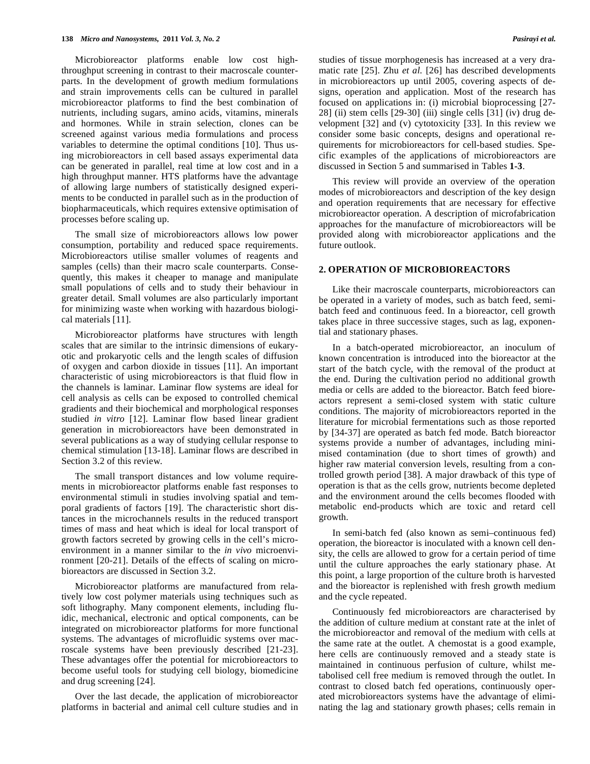Microbioreactor platforms enable low cost highthroughput screening in contrast to their macroscale counterparts. In the development of growth medium formulations and strain improvements cells can be cultured in parallel microbioreactor platforms to find the best combination of nutrients, including sugars, amino acids, vitamins, minerals and hormones. While in strain selection, clones can be screened against various media formulations and process variables to determine the optimal conditions [10]. Thus using microbioreactors in cell based assays experimental data can be generated in parallel, real time at low cost and in a high throughput manner. HTS platforms have the advantage of allowing large numbers of statistically designed experiments to be conducted in parallel such as in the production of biopharmaceuticals, which requires extensive optimisation of processes before scaling up.

The small size of microbioreactors allows low power consumption, portability and reduced space requirements. Microbioreactors utilise smaller volumes of reagents and samples (cells) than their macro scale counterparts. Consequently, this makes it cheaper to manage and manipulate small populations of cells and to study their behaviour in greater detail. Small volumes are also particularly important for minimizing waste when working with hazardous biological materials [11].

Microbioreactor platforms have structures with length scales that are similar to the intrinsic dimensions of eukaryotic and prokaryotic cells and the length scales of diffusion of oxygen and carbon dioxide in tissues [11]. An important characteristic of using microbioreactors is that fluid flow in the channels is laminar. Laminar flow systems are ideal for cell analysis as cells can be exposed to controlled chemical gradients and their biochemical and morphological responses studied *in vitro* [12]. Laminar flow based linear gradient generation in microbioreactors have been demonstrated in several publications as a way of studying cellular response to chemical stimulation [13-18]. Laminar flows are described in Section 3.2 of this review.

The small transport distances and low volume requirements in microbioreactor platforms enable fast responses to environmental stimuli in studies involving spatial and temporal gradients of factors [19]. The characteristic short distances in the microchannels results in the reduced transport times of mass and heat which is ideal for local transport of growth factors secreted by growing cells in the cell's microenvironment in a manner similar to the *in vivo* microenvironment [20-21]. Details of the effects of scaling on microbioreactors are discussed in Section 3.2.

Microbioreactor platforms are manufactured from relatively low cost polymer materials using techniques such as soft lithography. Many component elements, including fluidic, mechanical, electronic and optical components, can be integrated on microbioreactor platforms for more functional systems. The advantages of microfluidic systems over macroscale systems have been previously described [21-23]. These advantages offer the potential for microbioreactors to become useful tools for studying cell biology, biomedicine and drug screening [24].

Over the last decade, the application of microbioreactor platforms in bacterial and animal cell culture studies and in studies of tissue morphogenesis has increased at a very dramatic rate [25]. Zhu *et al.* [26] has described developments in microbioreactors up until 2005, covering aspects of designs, operation and application. Most of the research has focused on applications in: (i) microbial bioprocessing [27- 28] (ii) stem cells [29-30] (iii) single cells [31] (iv) drug development [32] and (v) cytotoxicity [33]. In this review we consider some basic concepts, designs and operational requirements for microbioreactors for cell-based studies. Specific examples of the applications of microbioreactors are discussed in Section 5 and summarised in Tables **1-3**.

This review will provide an overview of the operation modes of microbioreactors and description of the key design and operation requirements that are necessary for effective microbioreactor operation. A description of microfabrication approaches for the manufacture of microbioreactors will be provided along with microbioreactor applications and the future outlook.

# **2. OPERATION OF MICROBIOREACTORS**

Like their macroscale counterparts, microbioreactors can be operated in a variety of modes, such as batch feed, semibatch feed and continuous feed. In a bioreactor, cell growth takes place in three successive stages, such as lag, exponential and stationary phases.

In a batch-operated microbioreactor, an inoculum of known concentration is introduced into the bioreactor at the start of the batch cycle, with the removal of the product at the end. During the cultivation period no additional growth media or cells are added to the bioreactor. Batch feed bioreactors represent a semi-closed system with static culture conditions. The majority of microbioreactors reported in the literature for microbial fermentations such as those reported by [34-37] are operated as batch fed mode. Batch bioreactor systems provide a number of advantages, including minimised contamination (due to short times of growth) and higher raw material conversion levels, resulting from a controlled growth period [38]. A major drawback of this type of operation is that as the cells grow, nutrients become depleted and the environment around the cells becomes flooded with metabolic end-products which are toxic and retard cell growth.

In semi-batch fed (also known as semi–continuous fed) operation, the bioreactor is inoculated with a known cell density, the cells are allowed to grow for a certain period of time until the culture approaches the early stationary phase. At this point, a large proportion of the culture broth is harvested and the bioreactor is replenished with fresh growth medium and the cycle repeated.

Continuously fed microbioreactors are characterised by the addition of culture medium at constant rate at the inlet of the microbioreactor and removal of the medium with cells at the same rate at the outlet. A chemostat is a good example, here cells are continuously removed and a steady state is maintained in continuous perfusion of culture, whilst metabolised cell free medium is removed through the outlet. In contrast to closed batch fed operations, continuously operated microbioreactors systems have the advantage of eliminating the lag and stationary growth phases; cells remain in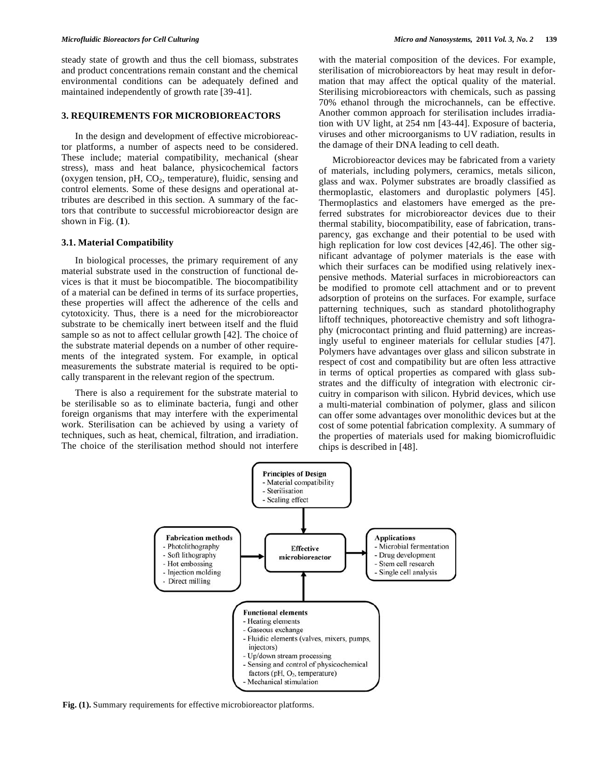steady state of growth and thus the cell biomass, substrates and product concentrations remain constant and the chemical environmental conditions can be adequately defined and maintained independently of growth rate [39-41].

# **3. REQUIREMENTS FOR MICROBIOREACTORS**

In the design and development of effective microbioreactor platforms, a number of aspects need to be considered. These include; material compatibility, mechanical (shear stress), mass and heat balance, physicochemical factors (oxygen tension,  $pH$ ,  $CO<sub>2</sub>$ , temperature), fluidic, sensing and control elements. Some of these designs and operational attributes are described in this section. A summary of the factors that contribute to successful microbioreactor design are shown in Fig. (**1**).

# **3.1. Material Compatibility**

In biological processes, the primary requirement of any material substrate used in the construction of functional devices is that it must be biocompatible. The biocompatibility of a material can be defined in terms of its surface properties, these properties will affect the adherence of the cells and cytotoxicity. Thus, there is a need for the microbioreactor substrate to be chemically inert between itself and the fluid sample so as not to affect cellular growth [42]. The choice of the substrate material depends on a number of other requirements of the integrated system. For example, in optical measurements the substrate material is required to be optically transparent in the relevant region of the spectrum.

There is also a requirement for the substrate material to be sterilisable so as to eliminate bacteria, fungi and other foreign organisms that may interfere with the experimental work. Sterilisation can be achieved by using a variety of techniques, such as heat, chemical, filtration, and irradiation. The choice of the sterilisation method should not interfere

with the material composition of the devices. For example, sterilisation of microbioreactors by heat may result in deformation that may affect the optical quality of the material. Sterilising microbioreactors with chemicals, such as passing 70% ethanol through the microchannels, can be effective. Another common approach for sterilisation includes irradiation with UV light, at 254 nm [43-44]. Exposure of bacteria, viruses and other microorganisms to UV radiation, results in the damage of their DNA leading to cell death.

Microbioreactor devices may be fabricated from a variety of materials, including polymers, ceramics, metals silicon, glass and wax. Polymer substrates are broadly classified as thermoplastic, elastomers and duroplastic polymers [45]. Thermoplastics and elastomers have emerged as the preferred substrates for microbioreactor devices due to their thermal stability, biocompatibility, ease of fabrication, transparency, gas exchange and their potential to be used with high replication for low cost devices [42,46]. The other significant advantage of polymer materials is the ease with which their surfaces can be modified using relatively inexpensive methods. Material surfaces in microbioreactors can be modified to promote cell attachment and or to prevent adsorption of proteins on the surfaces. For example, surface patterning techniques, such as standard photolithography liftoff techniques, photoreactive chemistry and soft lithography (microcontact printing and fluid patterning) are increasingly useful to engineer materials for cellular studies [47]. Polymers have advantages over glass and silicon substrate in respect of cost and compatibility but are often less attractive in terms of optical properties as compared with glass substrates and the difficulty of integration with electronic circuitry in comparison with silicon. Hybrid devices, which use a multi-material combination of polymer, glass and silicon can offer some advantages over monolithic devices but at the cost of some potential fabrication complexity. A summary of the properties of materials used for making biomicrofluidic chips is described in [48].



**Fig. (1).** Summary requirements for effective microbioreactor platforms.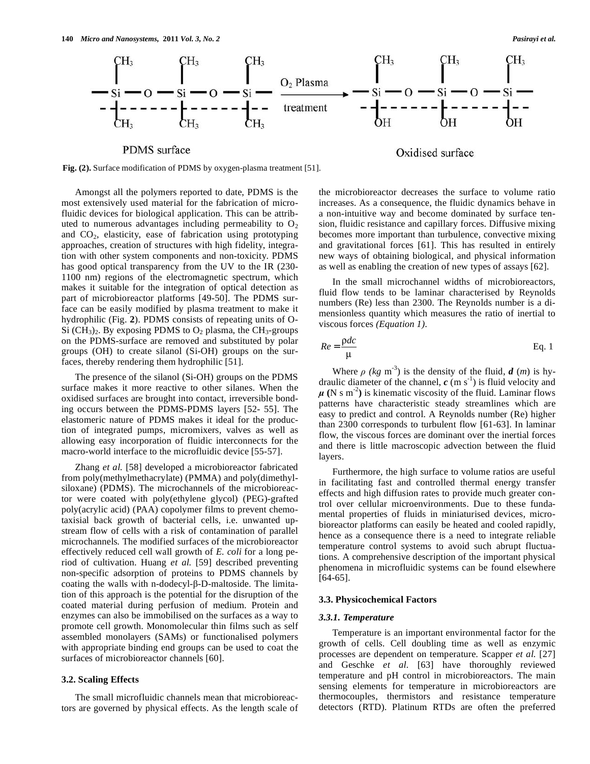



Amongst all the polymers reported to date, PDMS is the most extensively used material for the fabrication of microfluidic devices for biological application. This can be attributed to numerous advantages including permeability to  $O_2$ and  $CO<sub>2</sub>$ , elasticity, ease of fabrication using prototyping approaches, creation of structures with high fidelity, integration with other system components and non-toxicity. PDMS has good optical transparency from the UV to the IR (230- 1100 nm) regions of the electromagnetic spectrum, which makes it suitable for the integration of optical detection as part of microbioreactor platforms [49-50]. The PDMS surface can be easily modified by plasma treatment to make it hydrophilic (Fig. **2**). PDMS consists of repeating units of O-Si  $(CH_3)_2$ . By exposing PDMS to  $O_2$  plasma, the CH<sub>3</sub>-groups on the PDMS-surface are removed and substituted by polar groups (OH) to create silanol (Si-OH) groups on the surfaces, thereby rendering them hydrophilic [51].

The presence of the silanol (Si-OH) groups on the PDMS surface makes it more reactive to other silanes. When the oxidised surfaces are brought into contact, irreversible bonding occurs between the PDMS-PDMS layers [52- 55]. The elastomeric nature of PDMS makes it ideal for the production of integrated pumps, micromixers, valves as well as allowing easy incorporation of fluidic interconnects for the macro-world interface to the microfluidic device [55-57].

Zhang *et al.* [58] developed a microbioreactor fabricated from poly(methylmethacrylate) (PMMA) and poly(dimethylsiloxane) (PDMS). The microchannels of the microbioreactor were coated with poly(ethylene glycol) (PEG)-grafted poly(acrylic acid) (PAA) copolymer films to prevent chemotaxisial back growth of bacterial cells, i.e. unwanted upstream flow of cells with a risk of contamination of parallel microchannels*.* The modified surfaces of the microbioreactor effectively reduced cell wall growth of *E. coli* for a long period of cultivation. Huang *et al.* [59] described preventing non-specific adsorption of proteins to PDMS channels by coating the walls with n-dodecyl- $\beta$ -D-maltoside. The limitation of this approach is the potential for the disruption of the coated material during perfusion of medium. Protein and enzymes can also be immobilised on the surfaces as a way to promote cell growth. Monomolecular thin films such as self assembled monolayers (SAMs) or functionalised polymers with appropriate binding end groups can be used to coat the surfaces of microbioreactor channels [60].

# **3.2. Scaling Effects**

The small microfluidic channels mean that microbioreactors are governed by physical effects. As the length scale of the microbioreactor decreases the surface to volume ratio increases. As a consequence, the fluidic dynamics behave in a non-intuitive way and become dominated by surface tension, fluidic resistance and capillary forces. Diffusive mixing becomes more important than turbulence, convective mixing and gravitational forces [61]. This has resulted in entirely new ways of obtaining biological, and physical information as well as enabling the creation of new types of assays [62].

In the small microchannel widths of microbioreactors, fluid flow tends to be laminar characterised by Reynolds numbers (Re) less than 2300. The Reynolds number is a dimensionless quantity which measures the ratio of inertial to viscous forces *(Equation 1)*.

$$
Re = \frac{\rho dc}{\mu}
$$
 Eq. 1

Where  $\rho$  (kg m<sup>-3</sup>) is the density of the fluid, *d* (*m*) is hydraulic diameter of the channel,  $c$  (m s<sup>-1</sup>) is fluid velocity and  $\mu$  (N s m<sup>-2</sup>) is kinematic viscosity of the fluid. Laminar flows patterns have characteristic steady streamlines which are easy to predict and control. A Reynolds number (Re) higher than 2300 corresponds to turbulent flow [61-63]. In laminar flow, the viscous forces are dominant over the inertial forces and there is little macroscopic advection between the fluid layers.

Furthermore, the high surface to volume ratios are useful in facilitating fast and controlled thermal energy transfer effects and high diffusion rates to provide much greater control over cellular microenvironments. Due to these fundamental properties of fluids in miniaturised devices, microbioreactor platforms can easily be heated and cooled rapidly, hence as a consequence there is a need to integrate reliable temperature control systems to avoid such abrupt fluctuations. A comprehensive description of the important physical phenomena in microfluidic systems can be found elsewhere [64-65].

#### **3.3. Physicochemical Factors**

#### *3.3.1. Temperature*

Temperature is an important environmental factor for the growth of cells. Cell doubling time as well as enzymic processes are dependent on temperature. Scapper *et al.* [27] and Geschke *et al.* [63] have thoroughly reviewed temperature and pH control in microbioreactors. The main sensing elements for temperature in microbioreactors are thermocouples, thermistors and resistance temperature detectors (RTD). Platinum RTDs are often the preferred

Oxidised surface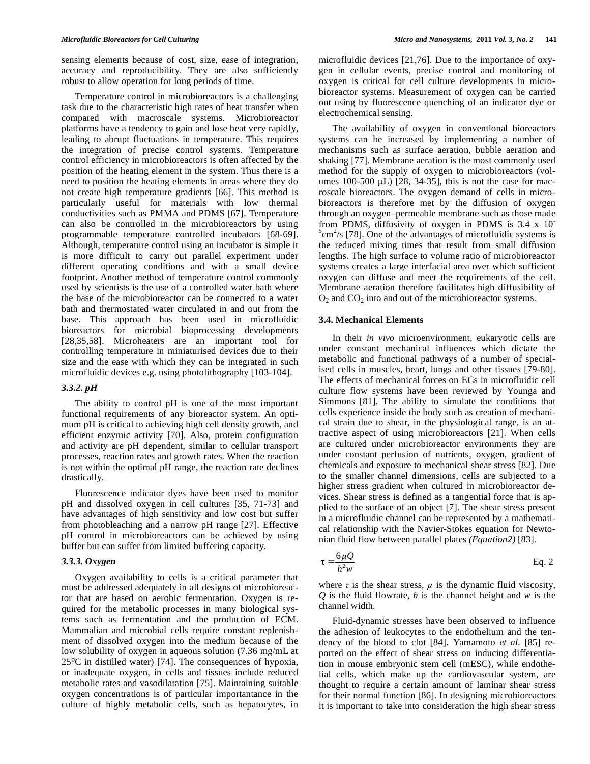sensing elements because of cost, size, ease of integration, accuracy and reproducibility. They are also sufficiently robust to allow operation for long periods of time.

Temperature control in microbioreactors is a challenging task due to the characteristic high rates of heat transfer when compared with macroscale systems. Microbioreactor platforms have a tendency to gain and lose heat very rapidly, leading to abrupt fluctuations in temperature. This requires the integration of precise control systems. Temperature control efficiency in microbioreactors is often affected by the position of the heating element in the system. Thus there is a need to position the heating elements in areas where they do not create high temperature gradients [66]. This method is particularly useful for materials with low thermal conductivities such as PMMA and PDMS [67]. Temperature can also be controlled in the microbioreactors by using programmable temperature controlled incubators [68-69]. Although, temperature control using an incubator is simple it is more difficult to carry out parallel experiment under different operating conditions and with a small device footprint. Another method of temperature control commonly used by scientists is the use of a controlled water bath where the base of the microbioreactor can be connected to a water bath and thermostated water circulated in and out from the base. This approach has been used in microfluidic bioreactors for microbial bioprocessing developments [28,35,58]. Microheaters are an important tool for controlling temperature in miniaturised devices due to their size and the ease with which they can be integrated in such microfluidic devices e.g. using photolithography [103-104].

# *3.3.2. pH*

The ability to control pH is one of the most important functional requirements of any bioreactor system. An optimum pH is critical to achieving high cell density growth, and efficient enzymic activity [70]. Also, protein configuration and activity are pH dependent, similar to cellular transport processes, reaction rates and growth rates. When the reaction is not within the optimal pH range, the reaction rate declines drastically.

Fluorescence indicator dyes have been used to monitor pH and dissolved oxygen in cell cultures [35, 71-73] and have advantages of high sensitivity and low cost but suffer from photobleaching and a narrow pH range [27]. Effective pH control in microbioreactors can be achieved by using buffer but can suffer from limited buffering capacity.

#### *3.3.3. Oxygen*

Oxygen availability to cells is a critical parameter that must be addressed adequately in all designs of microbioreactor that are based on aerobic fermentation. Oxygen is required for the metabolic processes in many biological systems such as fermentation and the production of ECM. Mammalian and microbial cells require constant replenishment of dissolved oxygen into the medium because of the low solubility of oxygen in aqueous solution (7.36 mg/mL at  $25^{\circ}$ C in distilled water) [74]. The consequences of hypoxia, or inadequate oxygen, in cells and tissues include reduced metabolic rates and vasodilatation [75]. Maintaining suitable oxygen concentrations is of particular importantance in the culture of highly metabolic cells, such as hepatocytes, in microfluidic devices [21,76]. Due to the importance of oxygen in cellular events, precise control and monitoring of oxygen is critical for cell culture developments in microbioreactor systems. Measurement of oxygen can be carried out using by fluorescence quenching of an indicator dye or electrochemical sensing.

The availability of oxygen in conventional bioreactors systems can be increased by implementing a number of mechanisms such as surface aeration, bubble aeration and shaking [77]. Membrane aeration is the most commonly used method for the supply of oxygen to microbioreactors (volumes  $100-500 \mu L$ ) [28, 34-35], this is not the case for macroscale bioreactors. The oxygen demand of cells in microbioreactors is therefore met by the diffusion of oxygen through an oxygen–permeable membrane such as those made from PDMS, diffusivity of oxygen in PDMS is 3.4 x 10-  $5 \text{ cm}^2$ /s [78]. One of the advantages of microfluidic systems is the reduced mixing times that result from small diffusion lengths. The high surface to volume ratio of microbioreactor systems creates a large interfacial area over which sufficient oxygen can diffuse and meet the requirements of the cell. Membrane aeration therefore facilitates high diffusibility of  $O_2$  and  $CO_2$  into and out of the microbioreactor systems.

# **3.4. Mechanical Elements**

In their *in vivo* microenvironment, eukaryotic cells are under constant mechanical influences which dictate the metabolic and functional pathways of a number of specialised cells in muscles, heart, lungs and other tissues [79-80]. The effects of mechanical forces on ECs in microfluidic cell culture flow systems have been reviewed by Younga and Simmons [81]. The ability to simulate the conditions that cells experience inside the body such as creation of mechanical strain due to shear, in the physiological range, is an attractive aspect of using microbioreactors [21]. When cells are cultured under microbioreactor environments they are under constant perfusion of nutrients, oxygen, gradient of chemicals and exposure to mechanical shear stress [82]. Due to the smaller channel dimensions, cells are subjected to a higher stress gradient when cultured in microbioreactor devices. Shear stress is defined as a tangential force that is applied to the surface of an object [7]. The shear stress present in a microfluidic channel can be represented by a mathematical relationship with the Navier-Stokes equation for Newtonian fluid flow between parallel plates *(Equation2)* [83].

$$
\tau = \frac{6\mu Q}{h^2 w}
$$
 Eq. 2

where  $\tau$  is the shear stress,  $\mu$  is the dynamic fluid viscosity, *Q* is the fluid flowrate, *h* is the channel height and *w* is the channel width.

Fluid-dynamic stresses have been observed to influence the adhesion of leukocytes to the endothelium and the tendency of the blood to clot [84]. Yamamoto *et al.* [85] reported on the effect of shear stress on inducing differentiation in mouse embryonic stem cell (mESC), while endothelial cells, which make up the cardiovascular system, are thought to require a certain amount of laminar shear stress for their normal function [86]. In designing microbioreactors it is important to take into consideration the high shear stress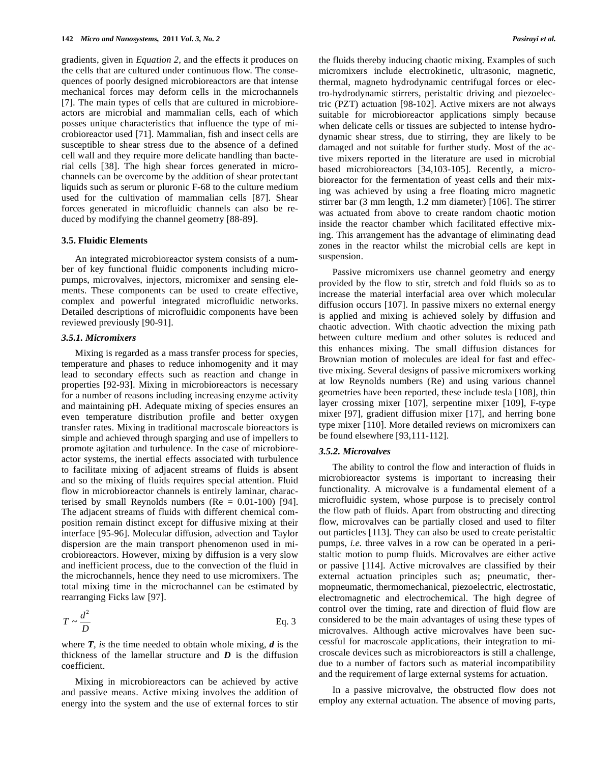gradients, given in *Equation 2,* and the effects it produces on the cells that are cultured under continuous flow. The consequences of poorly designed microbioreactors are that intense mechanical forces may deform cells in the microchannels [7]. The main types of cells that are cultured in microbioreactors are microbial and mammalian cells, each of which posses unique characteristics that influence the type of microbioreactor used [71]. Mammalian, fish and insect cells are susceptible to shear stress due to the absence of a defined cell wall and they require more delicate handling than bacterial cells [38]. The high shear forces generated in microchannels can be overcome by the addition of shear protectant liquids such as serum or pluronic F-68 to the culture medium used for the cultivation of mammalian cells [87]. Shear forces generated in microfluidic channels can also be reduced by modifying the channel geometry [88-89].

# **3.5. Fluidic Elements**

An integrated microbioreactor system consists of a number of key functional fluidic components including micropumps, microvalves, injectors, micromixer and sensing elements. These components can be used to create effective, complex and powerful integrated microfluidic networks. Detailed descriptions of microfluidic components have been reviewed previously [90-91].

#### *3.5.1. Micromixers*

Mixing is regarded as a mass transfer process for species, temperature and phases to reduce inhomogenity and it may lead to secondary effects such as reaction and change in properties [92-93]. Mixing in microbioreactors is necessary for a number of reasons including increasing enzyme activity and maintaining pH. Adequate mixing of species ensures an even temperature distribution profile and better oxygen transfer rates. Mixing in traditional macroscale bioreactors is simple and achieved through sparging and use of impellers to promote agitation and turbulence. In the case of microbioreactor systems, the inertial effects associated with turbulence to facilitate mixing of adjacent streams of fluids is absent and so the mixing of fluids requires special attention. Fluid flow in microbioreactor channels is entirely laminar, characterised by small Reynolds numbers  $(Re = 0.01-100)$  [94]. The adjacent streams of fluids with different chemical composition remain distinct except for diffusive mixing at their interface [95-96]. Molecular diffusion, advection and Taylor dispersion are the main transport phenomenon used in microbioreactors. However, mixing by diffusion is a very slow and inefficient process, due to the convection of the fluid in the microchannels, hence they need to use micromixers. The total mixing time in the microchannel can be estimated by rearranging Ficks law [97].

$$
T \sim \frac{d^2}{D} \qquad \qquad \text{Eq. 3}
$$

where *T, is* the time needed to obtain whole mixing, *d* is the thickness of the lamellar structure and *D* is the diffusion coefficient.

Mixing in microbioreactors can be achieved by active and passive means. Active mixing involves the addition of energy into the system and the use of external forces to stir

the fluids thereby inducing chaotic mixing. Examples of such micromixers include electrokinetic, ultrasonic, magnetic, thermal, magneto hydrodynamic centrifugal forces or electro-hydrodynamic stirrers, peristaltic driving and piezoelectric (PZT) actuation [98-102]. Active mixers are not always suitable for microbioreactor applications simply because when delicate cells or tissues are subjected to intense hydrodynamic shear stress, due to stirring, they are likely to be damaged and not suitable for further study. Most of the active mixers reported in the literature are used in microbial based microbioreactors [34,103-105]. Recently, a microbioreactor for the fermentation of yeast cells and their mixing was achieved by using a free floating micro magnetic stirrer bar (3 mm length, 1.2 mm diameter) [106]. The stirrer was actuated from above to create random chaotic motion inside the reactor chamber which facilitated effective mixing. This arrangement has the advantage of eliminating dead zones in the reactor whilst the microbial cells are kept in suspension.

Passive micromixers use channel geometry and energy provided by the flow to stir, stretch and fold fluids so as to increase the material interfacial area over which molecular diffusion occurs [107]. In passive mixers no external energy is applied and mixing is achieved solely by diffusion and chaotic advection. With chaotic advection the mixing path between culture medium and other solutes is reduced and this enhances mixing. The small diffusion distances for Brownian motion of molecules are ideal for fast and effective mixing. Several designs of passive micromixers working at low Reynolds numbers (Re) and using various channel geometries have been reported, these include tesla [108], thin layer crossing mixer [107], serpentine mixer [109], F-type mixer [97], gradient diffusion mixer [17], and herring bone type mixer [110]. More detailed reviews on micromixers can be found elsewhere [93,111-112].

# *3.5.2. Microvalves*

The ability to control the flow and interaction of fluids in microbioreactor systems is important to increasing their functionality. A microvalve is a fundamental element of a microfluidic system, whose purpose is to precisely control the flow path of fluids. Apart from obstructing and directing flow, microvalves can be partially closed and used to filter out particles [113]. They can also be used to create peristaltic pumps, *i.e.* three valves in a row can be operated in a peristaltic motion to pump fluids. Microvalves are either active or passive [114]. Active microvalves are classified by their external actuation principles such as; pneumatic, thermopneumatic, thermomechanical, piezoelectric, electrostatic, electromagnetic and electrochemical. The high degree of control over the timing, rate and direction of fluid flow are considered to be the main advantages of using these types of microvalves. Although active microvalves have been successful for macroscale applications, their integration to microscale devices such as microbioreactors is still a challenge, due to a number of factors such as material incompatibility and the requirement of large external systems for actuation.

In a passive microvalve, the obstructed flow does not employ any external actuation. The absence of moving parts,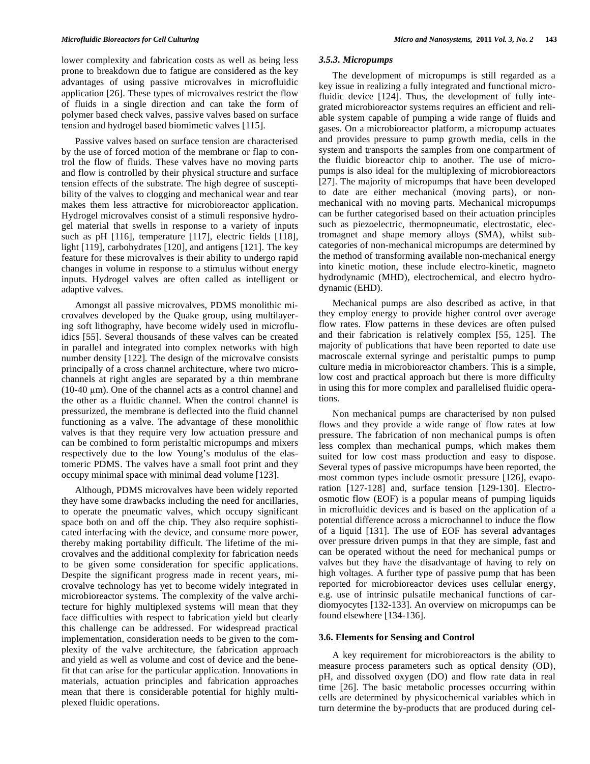lower complexity and fabrication costs as well as being less prone to breakdown due to fatigue are considered as the key advantages of using passive microvalves in microfluidic application [26]. These types of microvalves restrict the flow of fluids in a single direction and can take the form of polymer based check valves, passive valves based on surface tension and hydrogel based biomimetic valves [115].

Passive valves based on surface tension are characterised by the use of forced motion of the membrane or flap to control the flow of fluids. These valves have no moving parts and flow is controlled by their physical structure and surface tension effects of the substrate. The high degree of susceptibility of the valves to clogging and mechanical wear and tear makes them less attractive for microbioreactor application. Hydrogel microvalves consist of a stimuli responsive hydrogel material that swells in response to a variety of inputs such as pH [116], temperature [117], electric fields [118], light [119], carbohydrates [120], and antigens [121]. The key feature for these microvalves is their ability to undergo rapid changes in volume in response to a stimulus without energy inputs. Hydrogel valves are often called as intelligent or adaptive valves.

Amongst all passive microvalves, PDMS monolithic microvalves developed by the Quake group, using multilayering soft lithography, have become widely used in microfluidics [55]. Several thousands of these valves can be created in parallel and integrated into complex networks with high number density [122]*.* The design of the microvalve consists principally of a cross channel architecture, where two microchannels at right angles are separated by a thin membrane (10-40  $\mu$ m). One of the channel acts as a control channel and the other as a fluidic channel. When the control channel is pressurized, the membrane is deflected into the fluid channel functioning as a valve. The advantage of these monolithic valves is that they require very low actuation pressure and can be combined to form peristaltic micropumps and mixers respectively due to the low Young's modulus of the elastomeric PDMS. The valves have a small foot print and they occupy minimal space with minimal dead volume [123].

Although, PDMS microvalves have been widely reported they have some drawbacks including the need for ancillaries, to operate the pneumatic valves, which occupy significant space both on and off the chip. They also require sophisticated interfacing with the device, and consume more power, thereby making portability difficult. The lifetime of the microvalves and the additional complexity for fabrication needs to be given some consideration for specific applications. Despite the significant progress made in recent years, microvalve technology has yet to become widely integrated in microbioreactor systems. The complexity of the valve architecture for highly multiplexed systems will mean that they face difficulties with respect to fabrication yield but clearly this challenge can be addressed. For widespread practical implementation, consideration needs to be given to the complexity of the valve architecture, the fabrication approach and yield as well as volume and cost of device and the benefit that can arise for the particular application. Innovations in materials, actuation principles and fabrication approaches mean that there is considerable potential for highly multiplexed fluidic operations.

#### *3.5.3. Micropumps*

The development of micropumps is still regarded as a key issue in realizing a fully integrated and functional microfluidic device [124]. Thus, the development of fully integrated microbioreactor systems requires an efficient and reliable system capable of pumping a wide range of fluids and gases. On a microbioreactor platform, a micropump actuates and provides pressure to pump growth media, cells in the system and transports the samples from one compartment of the fluidic bioreactor chip to another. The use of micropumps is also ideal for the multiplexing of microbioreactors [27]. The majority of micropumps that have been developed to date are either mechanical (moving parts), or nonmechanical with no moving parts. Mechanical micropumps can be further categorised based on their actuation principles such as piezoelectric, thermopneumatic, electrostatic, electromagnet and shape memory alloys (SMA), whilst subcategories of non-mechanical micropumps are determined by the method of transforming available non-mechanical energy into kinetic motion, these include electro-kinetic, magneto hydrodynamic (MHD), electrochemical, and electro hydrodynamic (EHD).

Mechanical pumps are also described as active, in that they employ energy to provide higher control over average flow rates. Flow patterns in these devices are often pulsed and their fabrication is relatively complex [55, 125]. The majority of publications that have been reported to date use macroscale external syringe and peristaltic pumps to pump culture media in microbioreactor chambers. This is a simple, low cost and practical approach but there is more difficulty in using this for more complex and parallelised fluidic operations.

Non mechanical pumps are characterised by non pulsed flows and they provide a wide range of flow rates at low pressure. The fabrication of non mechanical pumps is often less complex than mechanical pumps, which makes them suited for low cost mass production and easy to dispose. Several types of passive micropumps have been reported, the most common types include osmotic pressure [126], evaporation [127-128] and, surface tension [129-130]. Electroosmotic flow (EOF) is a popular means of pumping liquids in microfluidic devices and is based on the application of a potential difference across a microchannel to induce the flow of a liquid [131]. The use of EOF has several advantages over pressure driven pumps in that they are simple, fast and can be operated without the need for mechanical pumps or valves but they have the disadvantage of having to rely on high voltages. A further type of passive pump that has been reported for microbioreactor devices uses cellular energy, e.g. use of intrinsic pulsatile mechanical functions of cardiomyocytes [132-133]. An overview on micropumps can be found elsewhere [134-136].

# **3.6. Elements for Sensing and Control**

A key requirement for microbioreactors is the ability to measure process parameters such as optical density (OD), pH, and dissolved oxygen (DO) and flow rate data in real time [26]. The basic metabolic processes occurring within cells are determined by physicochemical variables which in turn determine the by-products that are produced during cel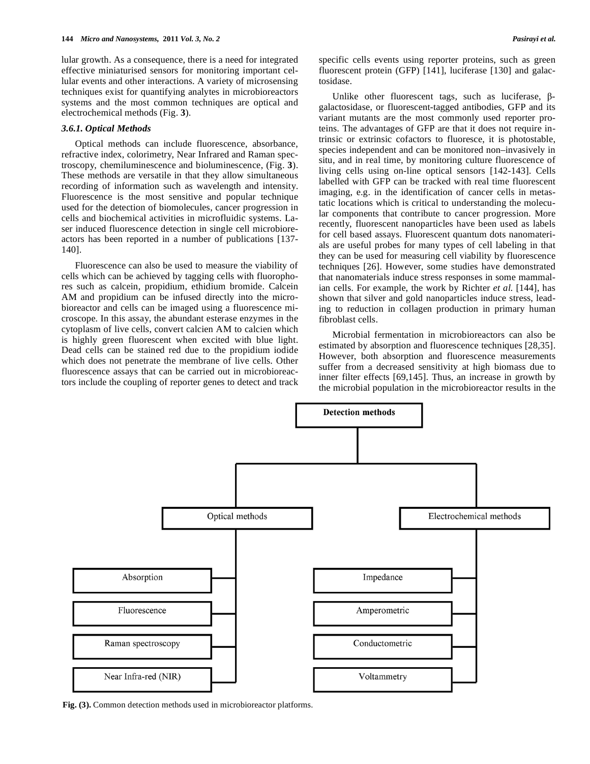lular growth. As a consequence, there is a need for integrated effective miniaturised sensors for monitoring important cellular events and other interactions. A variety of microsensing techniques exist for quantifying analytes in microbioreactors systems and the most common techniques are optical and electrochemical methods (Fig. **3**).

# *3.6.1. Optical Methods*

Optical methods can include fluorescence, absorbance, refractive index, colorimetry, Near Infrared and Raman spectroscopy, chemiluminescence and bioluminescence, (Fig. **3**). These methods are versatile in that they allow simultaneous recording of information such as wavelength and intensity. Fluorescence is the most sensitive and popular technique used for the detection of biomolecules, cancer progression in cells and biochemical activities in microfluidic systems. Laser induced fluorescence detection in single cell microbioreactors has been reported in a number of publications [137- 140].

Fluorescence can also be used to measure the viability of cells which can be achieved by tagging cells with fluorophores such as calcein, propidium, ethidium bromide. Calcein AM and propidium can be infused directly into the microbioreactor and cells can be imaged using a fluorescence microscope. In this assay, the abundant esterase enzymes in the cytoplasm of live cells, convert calcien AM to calcien which is highly green fluorescent when excited with blue light. Dead cells can be stained red due to the propidium iodide which does not penetrate the membrane of live cells. Other fluorescence assays that can be carried out in microbioreactors include the coupling of reporter genes to detect and track specific cells events using reporter proteins, such as green fluorescent protein (GFP) [141], luciferase [130] and galactosidase.

Unlike other fluorescent tags, such as luciferase,  $\beta$ galactosidase, or fluorescent-tagged antibodies, GFP and its variant mutants are the most commonly used reporter proteins. The advantages of GFP are that it does not require intrinsic or extrinsic cofactors to fluoresce, it is photostable, species independent and can be monitored non–invasively in situ, and in real time, by monitoring culture fluorescence of living cells using on-line optical sensors [142-143]. Cells labelled with GFP can be tracked with real time fluorescent imaging, e.g. in the identification of cancer cells in metastatic locations which is critical to understanding the molecular components that contribute to cancer progression. More recently, fluorescent nanoparticles have been used as labels for cell based assays. Fluorescent quantum dots nanomaterials are useful probes for many types of cell labeling in that they can be used for measuring cell viability by fluorescence techniques [26]. However, some studies have demonstrated that nanomaterials induce stress responses in some mammalian cells. For example, the work by Richter *et al.* [144], has shown that silver and gold nanoparticles induce stress, leading to reduction in collagen production in primary human fibroblast cells.

Microbial fermentation in microbioreactors can also be estimated by absorption and fluorescence techniques [28,35]. However, both absorption and fluorescence measurements suffer from a decreased sensitivity at high biomass due to inner filter effects [69,145]. Thus, an increase in growth by the microbial population in the microbioreactor results in the



**Fig. (3).** Common detection methods used in microbioreactor platforms.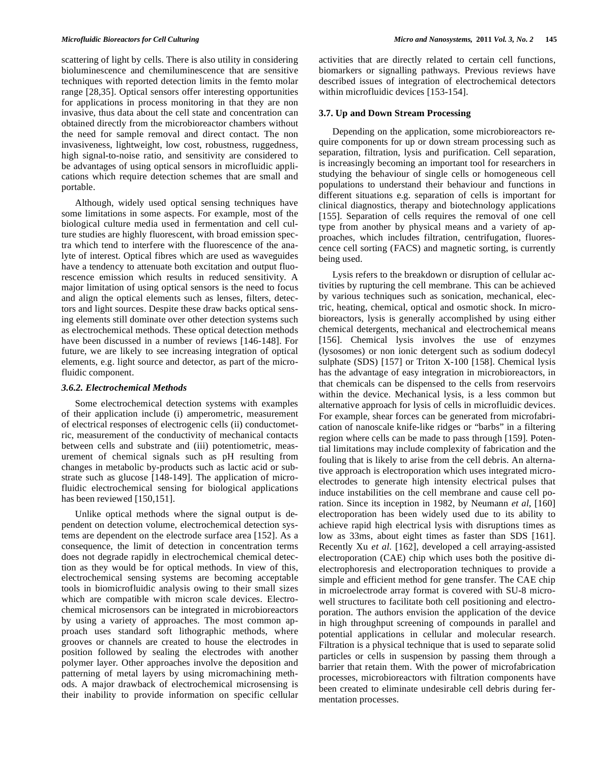scattering of light by cells. There is also utility in considering bioluminescence and chemiluminescence that are sensitive techniques with reported detection limits in the femto molar range [28,35]. Optical sensors offer interesting opportunities for applications in process monitoring in that they are non invasive, thus data about the cell state and concentration can obtained directly from the microbioreactor chambers without the need for sample removal and direct contact. The non invasiveness, lightweight, low cost, robustness, ruggedness, high signal-to-noise ratio, and sensitivity are considered to be advantages of using optical sensors in microfluidic applications which require detection schemes that are small and portable.

Although, widely used optical sensing techniques have some limitations in some aspects. For example, most of the biological culture media used in fermentation and cell culture studies are highly fluorescent, with broad emission spectra which tend to interfere with the fluorescence of the analyte of interest. Optical fibres which are used as waveguides have a tendency to attenuate both excitation and output fluorescence emission which results in reduced sensitivity. A major limitation of using optical sensors is the need to focus and align the optical elements such as lenses, filters, detectors and light sources. Despite these draw backs optical sensing elements still dominate over other detection systems such as electrochemical methods. These optical detection methods have been discussed in a number of reviews [146-148]. For future, we are likely to see increasing integration of optical elements, e.g. light source and detector, as part of the microfluidic component.

# *3.6.2. Electrochemical Methods*

Some electrochemical detection systems with examples of their application include (i) amperometric, measurement of electrical responses of electrogenic cells (ii) conductometric, measurement of the conductivity of mechanical contacts between cells and substrate and (iii) potentiometric, measurement of chemical signals such as pH resulting from changes in metabolic by-products such as lactic acid or substrate such as glucose [148-149]. The application of microfluidic electrochemical sensing for biological applications has been reviewed [150,151].

Unlike optical methods where the signal output is dependent on detection volume, electrochemical detection systems are dependent on the electrode surface area [152]. As a consequence, the limit of detection in concentration terms does not degrade rapidly in electrochemical chemical detection as they would be for optical methods. In view of this, electrochemical sensing systems are becoming acceptable tools in biomicrofluidic analysis owing to their small sizes which are compatible with micron scale devices. Electrochemical microsensors can be integrated in microbioreactors by using a variety of approaches. The most common approach uses standard soft lithographic methods, where grooves or channels are created to house the electrodes in position followed by sealing the electrodes with another polymer layer. Other approaches involve the deposition and patterning of metal layers by using micromachining methods. A major drawback of electrochemical microsensing is their inability to provide information on specific cellular activities that are directly related to certain cell functions, biomarkers or signalling pathways. Previous reviews have described issues of integration of electrochemical detectors within microfluidic devices [153-154].

# **3.7. Up and Down Stream Processing**

Depending on the application, some microbioreactors require components for up or down stream processing such as separation, filtration, lysis and purification. Cell separation, is increasingly becoming an important tool for researchers in studying the behaviour of single cells or homogeneous cell populations to understand their behaviour and functions in different situations e.g. separation of cells is important for clinical diagnostics, therapy and biotechnology applications [155]. Separation of cells requires the removal of one cell type from another by physical means and a variety of approaches, which includes filtration, centrifugation, fluorescence cell sorting (FACS) and magnetic sorting, is currently being used.

Lysis refers to the breakdown or disruption of cellular activities by rupturing the cell membrane. This can be achieved by various techniques such as sonication, mechanical, electric, heating, chemical, optical and osmotic shock. In microbioreactors, lysis is generally accomplished by using either chemical detergents, mechanical and electrochemical means [156]. Chemical lysis involves the use of enzymes (lysosomes) or non ionic detergent such as sodium dodecyl sulphate (SDS) [157] or Triton X-100 [158]. Chemical lysis has the advantage of easy integration in microbioreactors, in that chemicals can be dispensed to the cells from reservoirs within the device. Mechanical lysis, is a less common but alternative approach for lysis of cells in microfluidic devices. For example, shear forces can be generated from microfabrication of nanoscale knife-like ridges or "barbs" in a filtering region where cells can be made to pass through [159]*.* Potential limitations may include complexity of fabrication and the fouling that is likely to arise from the cell debris. An alternative approach is electroporation which uses integrated microelectrodes to generate high intensity electrical pulses that induce instabilities on the cell membrane and cause cell poration. Since its inception in 1982, by Neumann *et al*, [160] electroporation has been widely used due to its ability to achieve rapid high electrical lysis with disruptions times as low as 33ms, about eight times as faster than SDS [161]. Recently Xu *et al.* [162], developed a cell arraying-assisted electroporation (CAE) chip which uses both the positive dielectrophoresis and electroporation techniques to provide a simple and efficient method for gene transfer. The CAE chip in microelectrode array format is covered with SU-8 microwell structures to facilitate both cell positioning and electroporation. The authors envision the application of the device in high throughput screening of compounds in parallel and potential applications in cellular and molecular research. Filtration is a physical technique that is used to separate solid particles or cells in suspension by passing them through a barrier that retain them. With the power of microfabrication processes, microbioreactors with filtration components have been created to eliminate undesirable cell debris during fermentation processes.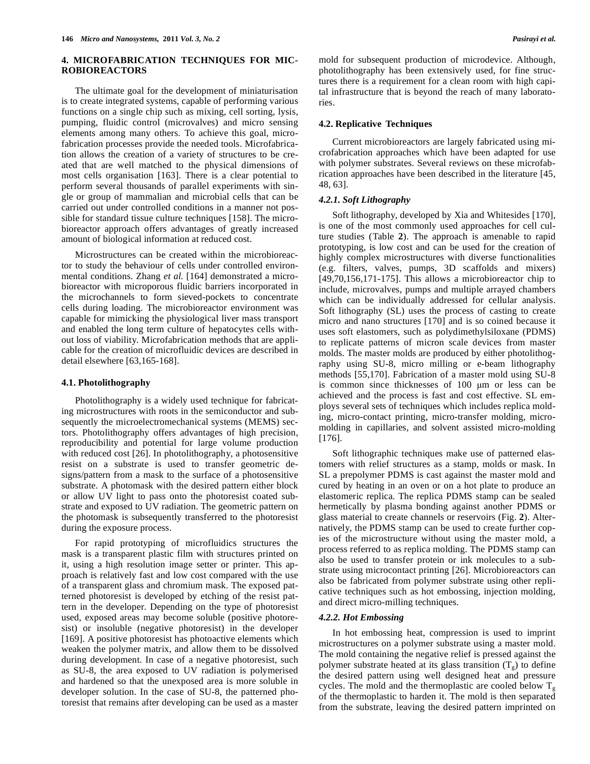# **4. MICROFABRICATION TECHNIQUES FOR MIC-ROBIOREACTORS**

The ultimate goal for the development of miniaturisation is to create integrated systems, capable of performing various functions on a single chip such as mixing, cell sorting, lysis, pumping, fluidic control (microvalves) and micro sensing elements among many others. To achieve this goal, microfabrication processes provide the needed tools. Microfabrication allows the creation of a variety of structures to be created that are well matched to the physical dimensions of most cells organisation [163]. There is a clear potential to perform several thousands of parallel experiments with single or group of mammalian and microbial cells that can be carried out under controlled conditions in a manner not possible for standard tissue culture techniques [158]. The microbioreactor approach offers advantages of greatly increased amount of biological information at reduced cost.

Microstructures can be created within the microbioreactor to study the behaviour of cells under controlled environmental conditions. Zhang *et al.* [164] demonstrated a microbioreactor with microporous fluidic barriers incorporated in the microchannels to form sieved-pockets to concentrate cells during loading. The microbioreactor environment was capable for mimicking the physiological liver mass transport and enabled the long term culture of hepatocytes cells without loss of viability. Microfabrication methods that are applicable for the creation of microfluidic devices are described in detail elsewhere [63,165-168].

# **4.1. Photolithography**

Photolithography is a widely used technique for fabricating microstructures with roots in the semiconductor and subsequently the microelectromechanical systems (MEMS) sectors. Photolithography offers advantages of high precision, reproducibility and potential for large volume production with reduced cost [26]. In photolithography, a photosensitive resist on a substrate is used to transfer geometric designs/pattern from a mask to the surface of a photosensitive substrate. A photomask with the desired pattern either block or allow UV light to pass onto the photoresist coated substrate and exposed to UV radiation. The geometric pattern on the photomask is subsequently transferred to the photoresist during the exposure process.

For rapid prototyping of microfluidics structures the mask is a transparent plastic film with structures printed on it, using a high resolution image setter or printer. This approach is relatively fast and low cost compared with the use of a transparent glass and chromium mask. The exposed patterned photoresist is developed by etching of the resist pattern in the developer. Depending on the type of photoresist used, exposed areas may become soluble (positive photoresist) or insoluble (negative photoresist) in the developer [169]. A positive photoresist has photoactive elements which weaken the polymer matrix, and allow them to be dissolved during development. In case of a negative photoresist, such as SU-8, the area exposed to UV radiation is polymerised and hardened so that the unexposed area is more soluble in developer solution. In the case of SU-8, the patterned photoresist that remains after developing can be used as a master mold for subsequent production of microdevice. Although, photolithography has been extensively used, for fine structures there is a requirement for a clean room with high capital infrastructure that is beyond the reach of many laboratories.

# **4.2. Replicative Techniques**

Current microbioreactors are largely fabricated using microfabrication approaches which have been adapted for use with polymer substrates. Several reviews on these microfabrication approaches have been described in the literature [45, 48, 63].

# *4.2.1. Soft Lithography*

Soft lithography, developed by Xia and Whitesides [170], is one of the most commonly used approaches for cell culture studies (Table **2**). The approach is amenable to rapid prototyping, is low cost and can be used for the creation of highly complex microstructures with diverse functionalities (e.g. filters, valves, pumps, 3D scaffolds and mixers) [49,70,156,171-175]. This allows a microbioreactor chip to include, microvalves, pumps and multiple arrayed chambers which can be individually addressed for cellular analysis. Soft lithography (SL) uses the process of casting to create micro and nano structures [170] and is so coined because it uses soft elastomers, such as polydimethylsiloxane (PDMS) to replicate patterns of micron scale devices from master molds. The master molds are produced by either photolithography using SU-8, micro milling or e-beam lithography methods [55,170]. Fabrication of a master mold using SU-8 is common since thicknesses of 100 μm or less can be achieved and the process is fast and cost effective. SL employs several sets of techniques which includes replica molding, micro-contact printing, micro-transfer molding, micromolding in capillaries, and solvent assisted micro-molding [176].

Soft lithographic techniques make use of patterned elastomers with relief structures as a stamp, molds or mask. In SL a prepolymer PDMS is cast against the master mold and cured by heating in an oven or on a hot plate to produce an elastomeric replica. The replica PDMS stamp can be sealed hermetically by plasma bonding against another PDMS or glass material to create channels or reservoirs (Fig. **2**). Alternatively, the PDMS stamp can be used to create further copies of the microstructure without using the master mold, a process referred to as replica molding. The PDMS stamp can also be used to transfer protein or ink molecules to a substrate using microcontact printing [26]. Microbioreactors can also be fabricated from polymer substrate using other replicative techniques such as hot embossing, injection molding, and direct micro-milling techniques.

#### *4.2.2. Hot Embossing*

In hot embossing heat, compression is used to imprint microstructures on a polymer substrate using a master mold. The mold containing the negative relief is pressed against the polymer substrate heated at its glass transition  $(T_g)$  to define the desired pattern using well designed heat and pressure cycles. The mold and the thermoplastic are cooled below  $T_g$ of the thermoplastic to harden it. The mold is then separated from the substrate, leaving the desired pattern imprinted on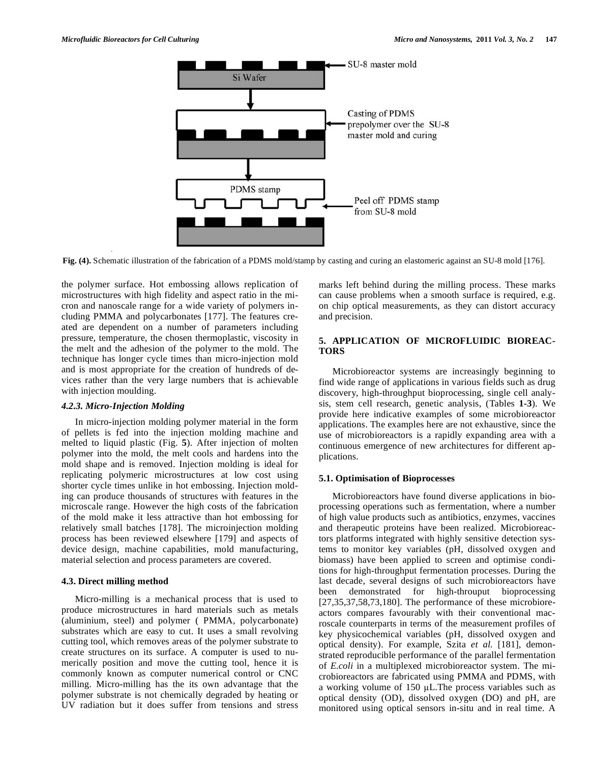

**Fig. (4).** Schematic illustration of the fabrication of a PDMS mold/stamp by casting and curing an elastomeric against an SU-8 mold [176].

the polymer surface. Hot embossing allows replication of microstructures with high fidelity and aspect ratio in the micron and nanoscale range for a wide variety of polymers including PMMA and polycarbonates [177]. The features created are dependent on a number of parameters including pressure, temperature, the chosen thermoplastic, viscosity in the melt and the adhesion of the polymer to the mold. The technique has longer cycle times than micro-injection mold and is most appropriate for the creation of hundreds of devices rather than the very large numbers that is achievable with injection moulding.

# *4.2.3. Micro-Injection Molding*

In micro-injection molding polymer material in the form of pellets is fed into the injection molding machine and melted to liquid plastic (Fig. **5**). After injection of molten polymer into the mold, the melt cools and hardens into the mold shape and is removed. Injection molding is ideal for replicating polymeric microstructures at low cost using shorter cycle times unlike in hot embossing. Injection molding can produce thousands of structures with features in the microscale range. However the high costs of the fabrication of the mold make it less attractive than hot embossing for relatively small batches [178]. The microinjection molding process has been reviewed elsewhere [179] and aspects of device design, machine capabilities, mold manufacturing, material selection and process parameters are covered.

# **4.3. Direct milling method**

Micro-milling is a mechanical process that is used to produce microstructures in hard materials such as metals (aluminium, steel) and polymer ( PMMA, polycarbonate) substrates which are easy to cut. It uses a small revolving cutting tool, which removes areas of the polymer substrate to create structures on its surface. A computer is used to numerically position and move the cutting tool, hence it is commonly known as computer numerical control or CNC milling. Micro-milling has the its own advantage that the polymer substrate is not chemically degraded by heating or UV radiation but it does suffer from tensions and stress

marks left behind during the milling process. These marks can cause problems when a smooth surface is required, e.g. on chip optical measurements, as they can distort accuracy and precision.

# **5. APPLICATION OF MICROFLUIDIC BIOREAC-TORS**

Microbioreactor systems are increasingly beginning to find wide range of applications in various fields such as drug discovery, high-throughput bioprocessing, single cell analysis, stem cell research, genetic analysis, (Tables **1-3**). We provide here indicative examples of some microbioreactor applications. The examples here are not exhaustive, since the use of microbioreactors is a rapidly expanding area with a continuous emergence of new architectures for different applications.

# **5.1. Optimisation of Bioprocesses**

Microbioreactors have found diverse applications in bioprocessing operations such as fermentation, where a number of high value products such as antibiotics, enzymes, vaccines and therapeutic proteins have been realized. Microbioreactors platforms integrated with highly sensitive detection systems to monitor key variables (pH, dissolved oxygen and biomass) have been applied to screen and optimise conditions for high-throughput fermentation processes. During the last decade, several designs of such microbioreactors have been demonstrated for high-throuput bioprocessing [27,35,37,58,73,180]. The performance of these microbioreactors compares favourably with their conventional macroscale counterparts in terms of the measurement profiles of key physicochemical variables (pH, dissolved oxygen and optical density). For example, Szita *et al.* [181]*,* demonstrated reproducible performance of the parallel fermentation of *E.coli* in a multiplexed microbioreactor system. The microbioreactors are fabricated using PMMA and PDMS, with a working volume of  $150 \mu L$ . The process variables such as optical density (OD), dissolved oxygen (DO) and pH, are monitored using optical sensors in-situ and in real time. A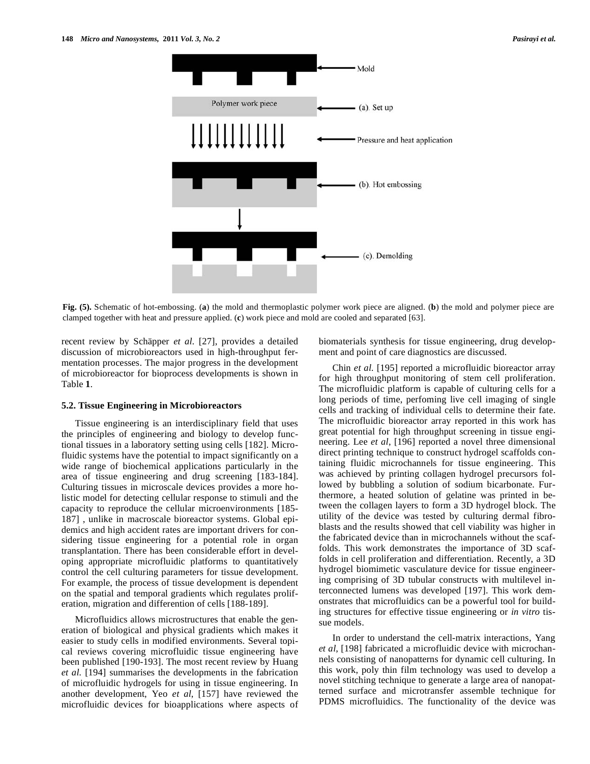

**Fig. (5).** Schematic of hot-embossing. (**a**) the mold and thermoplastic polymer work piece are aligned. (**b**) the mold and polymer piece are clamped together with heat and pressure applied. (**c**) work piece and mold are cooled and separated [63].

recent review by Schäpper *et al.* [27], provides a detailed discussion of microbioreactors used in high-throughput fermentation processes. The major progress in the development of microbioreactor for bioprocess developments is shown in Table **1**.

# **5.2. Tissue Engineering in Microbioreactors**

Tissue engineering is an interdisciplinary field that uses the principles of engineering and biology to develop functional tissues in a laboratory setting using cells [182]. Microfluidic systems have the potential to impact significantly on a wide range of biochemical applications particularly in the area of tissue engineering and drug screening [183-184]. Culturing tissues in microscale devices provides a more holistic model for detecting cellular response to stimuli and the capacity to reproduce the cellular microenvironments [185- 187] , unlike in macroscale bioreactor systems. Global epidemics and high accident rates are important drivers for considering tissue engineering for a potential role in organ transplantation. There has been considerable effort in developing appropriate microfluidic platforms to quantitatively control the cell culturing parameters for tissue development. For example, the process of tissue development is dependent on the spatial and temporal gradients which regulates proliferation, migration and differention of cells [188-189].

Microfluidics allows microstructures that enable the generation of biological and physical gradients which makes it easier to study cells in modified environments. Several topical reviews covering microfluidic tissue engineering have been published [190-193]. The most recent review by Huang *et al.* [194] summarises the developments in the fabrication of microfluidic hydrogels for using in tissue engineering. In another development, Yeo *et al*, [157] have reviewed the microfluidic devices for bioapplications where aspects of biomaterials synthesis for tissue engineering, drug development and point of care diagnostics are discussed.

Chin *et al.* [195] reported a microfluidic bioreactor array for high throughput monitoring of stem cell proliferation. The microfluidic platform is capable of culturing cells for a long periods of time, perfoming live cell imaging of single cells and tracking of individual cells to determine their fate. The microfluidic bioreactor array reported in this work has great potential for high throughput screening in tissue engineering. Lee *et al*, [196] reported a novel three dimensional direct printing technique to construct hydrogel scaffolds containing fluidic microchannels for tissue engineering. This was achieved by printing collagen hydrogel precursors followed by bubbling a solution of sodium bicarbonate. Furthermore, a heated solution of gelatine was printed in between the collagen layers to form a 3D hydrogel block. The utility of the device was tested by culturing dermal fibroblasts and the results showed that cell viability was higher in the fabricated device than in microchannels without the scaffolds. This work demonstrates the importance of 3D scaffolds in cell proliferation and differentiation. Recently, a 3D hydrogel biomimetic vasculature device for tissue engineering comprising of 3D tubular constructs with multilevel interconnected lumens was developed [197]. This work demonstrates that microfluidics can be a powerful tool for building structures for effective tissue engineering or *in vitro* tissue models.

In order to understand the cell-matrix interactions, Yang *et al*, [198] fabricated a microfluidic device with microchannels consisting of nanopatterns for dynamic cell culturing. In this work, poly thin film technology was used to develop a novel stitching technique to generate a large area of nanopatterned surface and microtransfer assemble technique for PDMS microfluidics. The functionality of the device was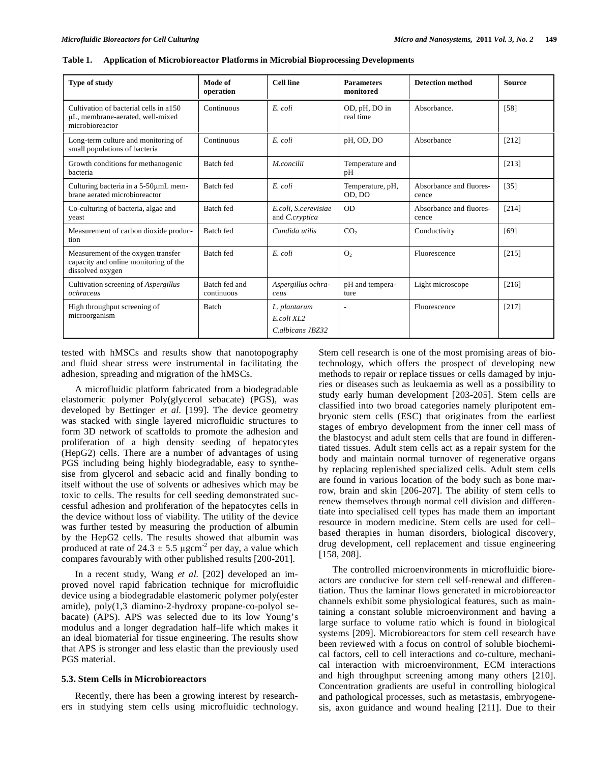| Type of study                                                                                   | Mode of<br>operation        | <b>Cell line</b>                                | <b>Parameters</b><br>monitored | <b>Detection method</b>          | <b>Source</b> |
|-------------------------------------------------------------------------------------------------|-----------------------------|-------------------------------------------------|--------------------------------|----------------------------------|---------------|
| Cultivation of bacterial cells in a150<br>uL, membrane-aerated, well-mixed<br>microbioreactor   | Continuous                  | E. coli                                         | OD, pH, DO in<br>real time     | Absorbance.                      | [58]          |
| Long-term culture and monitoring of<br>small populations of bacteria                            | Continuous                  | E. coli                                         | pH, OD, DO                     | Absorbance                       | $[212]$       |
| Growth conditions for methanogenic<br>bacteria                                                  | Batch fed                   | M.concilii                                      | Temperature and<br>pH          |                                  | $[213]$       |
| Culturing bacteria in a 5-50µmL mem-<br>brane aerated microbioreactor                           | Batch fed                   | E. coli                                         | Temperature, pH,<br>OD, DO     | Absorbance and fluores-<br>cence | $[35]$        |
| Co-culturing of bacteria, algae and<br>yeast                                                    | Batch fed                   | E.coli, S.cerevisiae<br>and <i>C.cryptica</i>   | OD                             | Absorbance and fluores-<br>cence | $[214]$       |
| Measurement of carbon dioxide produc-<br>tion                                                   | Batch fed                   | Candida utilis                                  | CO <sub>2</sub>                | Conductivity                     | [69]          |
| Measurement of the oxygen transfer<br>capacity and online monitoring of the<br>dissolved oxygen | Batch fed                   | E. coli                                         | O <sub>2</sub>                 | Fluorescence                     | $[215]$       |
| Cultivation screening of Aspergillus<br>ochraceus                                               | Batch fed and<br>continuous | Aspergillus ochra-<br>ceus                      | pH and tempera-<br>ture        | Light microscope                 | $[216]$       |
| High throughput screening of<br>microorganism                                                   | Batch                       | L. plantarum<br>E.coli XL2<br>C. albicans JBZ32 | ٠                              | Fluorescence                     | [217]         |

**Table 1. Application of Microbioreactor Platforms in Microbial Bioprocessing Developments** 

tested with hMSCs and results show that nanotopography and fluid shear stress were instrumental in facilitating the adhesion, spreading and migration of the hMSCs.

A microfluidic platform fabricated from a biodegradable elastomeric polymer Poly(glycerol sebacate) (PGS), was developed by Bettinger *et al.* [199]. The device geometry was stacked with single layered microfluidic structures to form 3D network of scaffolds to promote the adhesion and proliferation of a high density seeding of hepatocytes (HepG2) cells. There are a number of advantages of using PGS including being highly biodegradable, easy to synthesise from glycerol and sebacic acid and finally bonding to itself without the use of solvents or adhesives which may be toxic to cells. The results for cell seeding demonstrated successful adhesion and proliferation of the hepatocytes cells in the device without loss of viability. The utility of the device was further tested by measuring the production of albumin by the HepG2 cells. The results showed that albumin was produced at rate of  $24.3 \pm 5.5$   $\mu$ gcm<sup>-2</sup> per day, a value which compares favourably with other published results [200-201].

In a recent study, Wang *et al.* [202] developed an improved novel rapid fabrication technique for microfluidic device using a biodegradable elastomeric polymer poly(ester amide), poly(1,3 diamino-2-hydroxy propane-co-polyol sebacate) (APS). APS was selected due to its low Young's modulus and a longer degradation half–life which makes it an ideal biomaterial for tissue engineering. The results show that APS is stronger and less elastic than the previously used PGS material.

#### **5.3. Stem Cells in Microbioreactors**

Recently, there has been a growing interest by researchers in studying stem cells using microfluidic technology. Stem cell research is one of the most promising areas of biotechnology, which offers the prospect of developing new methods to repair or replace tissues or cells damaged by injuries or diseases such as leukaemia as well as a possibility to study early human development [203-205]. Stem cells are classified into two broad categories namely pluripotent embryonic stem cells (ESC) that originates from the earliest stages of embryo development from the inner cell mass of the blastocyst and adult stem cells that are found in differentiated tissues. Adult stem cells act as a repair system for the body and maintain normal turnover of regenerative organs by replacing replenished specialized cells. Adult stem cells are found in various location of the body such as bone marrow, brain and skin [206-207]. The ability of stem cells to renew themselves through normal cell division and differentiate into specialised cell types has made them an important resource in modern medicine. Stem cells are used for cell– based therapies in human disorders, biological discovery, drug development, cell replacement and tissue engineering [158, 208].

The controlled microenvironments in microfluidic bioreactors are conducive for stem cell self-renewal and differentiation. Thus the laminar flows generated in microbioreactor channels exhibit some physiological features, such as maintaining a constant soluble microenvironment and having a large surface to volume ratio which is found in biological systems [209]. Microbioreactors for stem cell research have been reviewed with a focus on control of soluble biochemical factors, cell to cell interactions and co-culture, mechanical interaction with microenvironment, ECM interactions and high throughput screening among many others [210]. Concentration gradients are useful in controlling biological and pathological processes, such as metastasis, embryogenesis, axon guidance and wound healing [211]. Due to their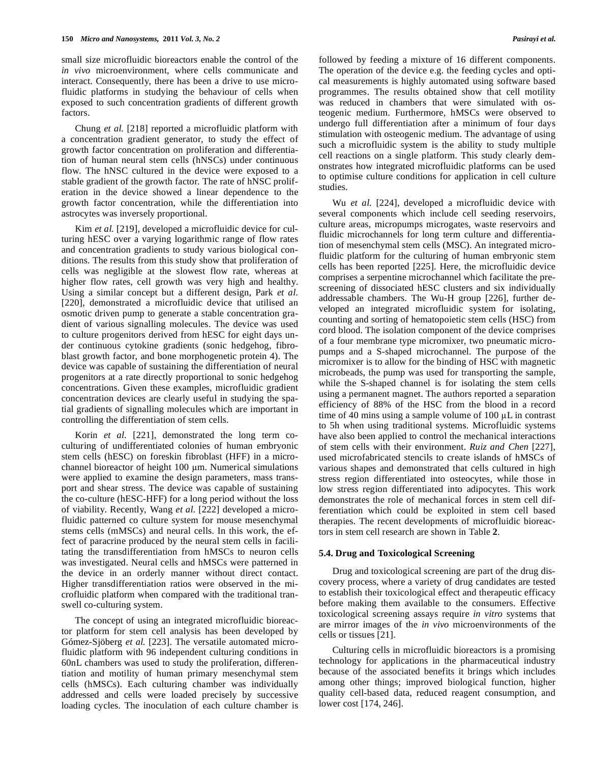small size microfluidic bioreactors enable the control of the *in vivo* microenvironment, where cells communicate and interact. Consequently, there has been a drive to use microfluidic platforms in studying the behaviour of cells when exposed to such concentration gradients of different growth factors.

Chung *et al.* [218] reported a microfluidic platform with a concentration gradient generator, to study the effect of growth factor concentration on proliferation and differentiation of human neural stem cells (hNSCs) under continuous flow. The hNSC cultured in the device were exposed to a stable gradient of the growth factor. The rate of hNSC proliferation in the device showed a linear dependence to the growth factor concentration, while the differentiation into astrocytes was inversely proportional.

Kim *et al.* [219], developed a microfluidic device for culturing hESC over a varying logarithmic range of flow rates and concentration gradients to study various biological conditions. The results from this study show that proliferation of cells was negligible at the slowest flow rate, whereas at higher flow rates, cell growth was very high and healthy. Using a similar concept but a different design, Park *et al.*  [220], demonstrated a microfluidic device that utilised an osmotic driven pump to generate a stable concentration gradient of various signalling molecules. The device was used to culture progenitors derived from hESC for eight days under continuous cytokine gradients (sonic hedgehog, fibroblast growth factor, and bone morphogenetic protein 4). The device was capable of sustaining the differentiation of neural progenitors at a rate directly proportional to sonic hedgehog concentrations. Given these examples, microfluidic gradient concentration devices are clearly useful in studying the spatial gradients of signalling molecules which are important in controlling the differentiation of stem cells.

Korin *et al.* [221], demonstrated the long term coculturing of undifferentiated colonies of human embryonic stem cells (hESC) on foreskin fibroblast (HFF) in a microchannel bioreactor of height  $100 \mu m$ . Numerical simulations were applied to examine the design parameters, mass transport and shear stress. The device was capable of sustaining the co-culture (hESC-HFF) for a long period without the loss of viability. Recently, Wang *et al.* [222] developed a microfluidic patterned co culture system for mouse mesenchymal stems cells (mMSCs) and neural cells. In this work, the effect of paracrine produced by the neural stem cells in facilitating the transdifferentiation from hMSCs to neuron cells was investigated. Neural cells and hMSCs were patterned in the device in an orderly manner without direct contact. Higher transdifferentiation ratios were observed in the microfluidic platform when compared with the traditional transwell co-culturing system.

The concept of using an integrated microfluidic bioreactor platform for stem cell analysis has been developed by Gómez-Sjöberg *et al.* [223]. The versatile automated microfluidic platform with 96 independent culturing conditions in 60nL chambers was used to study the proliferation, differentiation and motility of human primary mesenchymal stem cells (hMSCs). Each culturing chamber was individually addressed and cells were loaded precisely by successive loading cycles. The inoculation of each culture chamber is followed by feeding a mixture of 16 different components. The operation of the device e.g. the feeding cycles and optical measurements is highly automated using software based programmes. The results obtained show that cell motility was reduced in chambers that were simulated with osteogenic medium. Furthermore, hMSCs were observed to undergo full differentiation after a minimum of four days stimulation with osteogenic medium. The advantage of using such a microfluidic system is the ability to study multiple cell reactions on a single platform. This study clearly demonstrates how integrated microfluidic platforms can be used to optimise culture conditions for application in cell culture studies.

Wu *et al.* [224], developed a microfluidic device with several components which include cell seeding reservoirs, culture areas, micropumps microgates, waste reservoirs and fluidic microchannels for long term culture and differentiation of mesenchymal stem cells (MSC). An integrated microfluidic platform for the culturing of human embryonic stem cells has been reported [225]. Here, the microfluidic device comprises a serpentine microchannel which facilitate the prescreening of dissociated hESC clusters and six individually addressable chambers. The Wu-H group [226], further developed an integrated microfluidic system for isolating, counting and sorting of hematopoietic stem cells (HSC) from cord blood. The isolation component of the device comprises of a four membrane type micromixer, two pneumatic micropumps and a S-shaped microchannel. The purpose of the micromixer is to allow for the binding of HSC with magnetic microbeads, the pump was used for transporting the sample, while the S-shaped channel is for isolating the stem cells using a permanent magnet. The authors reported a separation efficiency of 88% of the HSC from the blood in a record time of 40 mins using a sample volume of  $100 \mu L$  in contrast to 5h when using traditional systems. Microfluidic systems have also been applied to control the mechanical interactions of stem cells with their environment. *Ruiz and Chen* [227], used microfabricated stencils to create islands of hMSCs of various shapes and demonstrated that cells cultured in high stress region differentiated into osteocytes, while those in low stress region differentiated into adipocytes. This work demonstrates the role of mechanical forces in stem cell differentiation which could be exploited in stem cell based therapies. The recent developments of microfluidic bioreactors in stem cell research are shown in Table **2**.

# **5.4. Drug and Toxicological Screening**

Drug and toxicological screening are part of the drug discovery process, where a variety of drug candidates are tested to establish their toxicological effect and therapeutic efficacy before making them available to the consumers. Effective toxicological screening assays require *in vitro* systems that are mirror images of the *in vivo* microenvironments of the cells or tissues [21].

Culturing cells in microfluidic bioreactors is a promising technology for applications in the pharmaceutical industry because of the associated benefits it brings which includes among other things; improved biological function, higher quality cell-based data, reduced reagent consumption, and lower cost [174, 246].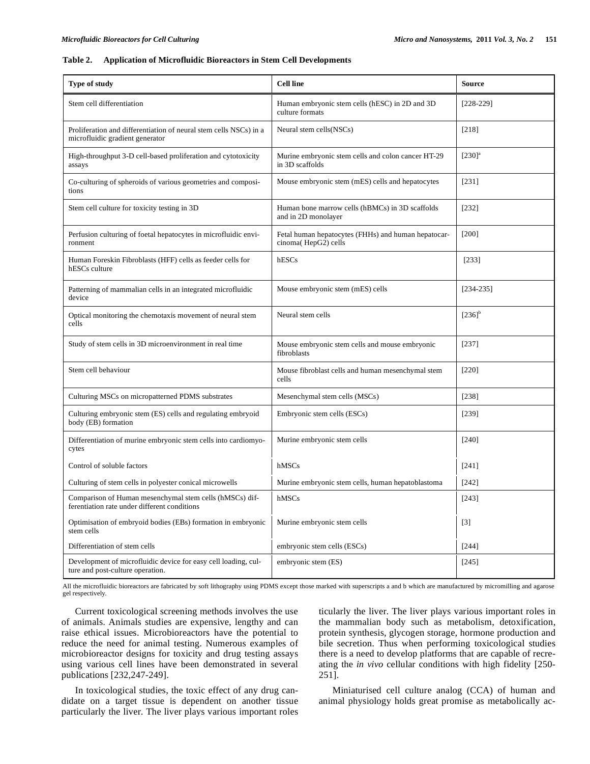#### **Table 2. Application of Microfluidic Bioreactors in Stem Cell Developments**

| Type of study                                                                                           | <b>Cell line</b>                                                           | Source               |
|---------------------------------------------------------------------------------------------------------|----------------------------------------------------------------------------|----------------------|
| Stem cell differentiation                                                                               | Human embryonic stem cells (hESC) in 2D and 3D<br>culture formats          | $[228-229]$          |
| Proliferation and differentiation of neural stem cells NSCs) in a<br>microfluidic gradient generator    | Neural stem cells(NSCs)                                                    | [218]                |
| High-throughput 3-D cell-based proliferation and cytotoxicity<br>assays                                 | Murine embryonic stem cells and colon cancer HT-29<br>in 3D scaffolds      | $[230]$ <sup>a</sup> |
| Co-culturing of spheroids of various geometries and composi-<br>tions                                   | Mouse embryonic stem (mES) cells and hepatocytes                           | [231]                |
| Stem cell culture for toxicity testing in 3D                                                            | Human bone marrow cells (hBMCs) in 3D scaffolds<br>and in 2D monolayer     | [232]                |
| Perfusion culturing of foetal hepatocytes in microfluidic envi-<br>ronment                              | Fetal human hepatocytes (FHHs) and human hepatocar-<br>cinoma(HepG2) cells | $[200]$              |
| Human Foreskin Fibroblasts (HFF) cells as feeder cells for<br>hESCs culture                             | hESCs                                                                      | [233]                |
| Patterning of mammalian cells in an integrated microfluidic<br>device                                   | Mouse embryonic stem (mES) cells                                           | $[234-235]$          |
| Optical monitoring the chemotaxis movement of neural stem<br>cells                                      | Neural stem cells                                                          | $[236]$ <sup>b</sup> |
| Study of stem cells in 3D microenvironment in real time                                                 | Mouse embryonic stem cells and mouse embryonic<br>fibroblasts              | [237]                |
| Stem cell behaviour                                                                                     | Mouse fibroblast cells and human mesenchymal stem<br>cells                 | $[220]$              |
| Culturing MSCs on micropatterned PDMS substrates                                                        | Mesenchymal stem cells (MSCs)                                              | [238]                |
| Culturing embryonic stem (ES) cells and regulating embryoid<br>body (EB) formation                      | Embryonic stem cells (ESCs)                                                | $[239]$              |
| Differentiation of murine embryonic stem cells into cardiomyo-<br>cytes                                 | Murine embryonic stem cells                                                | [240]                |
| Control of soluble factors                                                                              | hMSCs                                                                      | $[241]$              |
| Culturing of stem cells in polyester conical microwells                                                 | Murine embryonic stem cells, human hepatoblastoma                          | [242]                |
| Comparison of Human mesenchymal stem cells (hMSCs) dif-<br>ferentiation rate under different conditions | hMSCs                                                                      | $[243]$              |
| Optimisation of embryoid bodies (EBs) formation in embryonic<br>stem cells                              | Murine embryonic stem cells                                                | $\lceil 3 \rceil$    |
| Differentiation of stem cells                                                                           | embryonic stem cells (ESCs)                                                | $[244]$              |
| Development of microfluidic device for easy cell loading, cul-<br>ture and post-culture operation.      | embryonic stem (ES)                                                        | [245]                |

All the microfluidic bioreactors are fabricated by soft lithography using PDMS except those marked with superscripts a and b which are manufactured by micromilling and agarose gel respectively.

Current toxicological screening methods involves the use of animals. Animals studies are expensive, lengthy and can raise ethical issues. Microbioreactors have the potential to reduce the need for animal testing. Numerous examples of microbioreactor designs for toxicity and drug testing assays using various cell lines have been demonstrated in several publications [232,247-249].

In toxicological studies, the toxic effect of any drug candidate on a target tissue is dependent on another tissue particularly the liver. The liver plays various important roles ticularly the liver. The liver plays various important roles in the mammalian body such as metabolism, detoxification, protein synthesis, glycogen storage, hormone production and bile secretion. Thus when performing toxicological studies there is a need to develop platforms that are capable of recreating the *in vivo* cellular conditions with high fidelity [250- 251].

Miniaturised cell culture analog (CCA) of human and animal physiology holds great promise as metabolically ac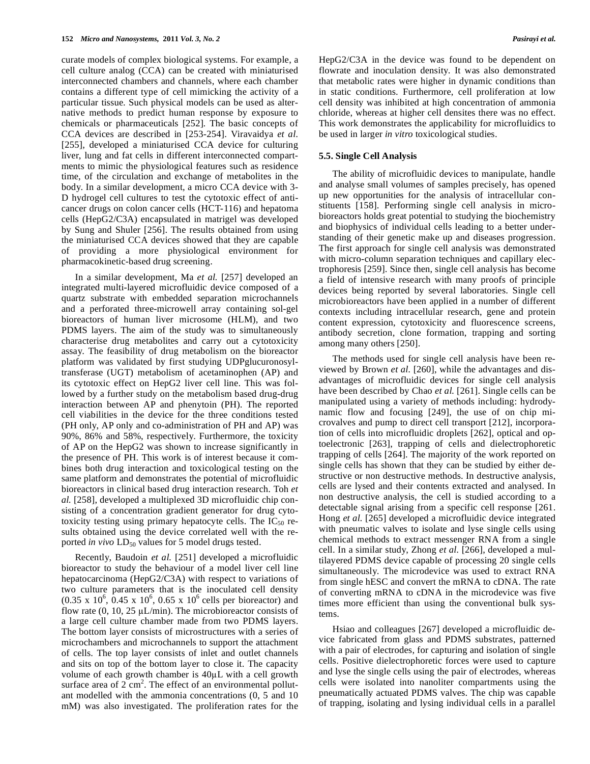curate models of complex biological systems. For example, a cell culture analog (CCA) can be created with miniaturised interconnected chambers and channels, where each chamber contains a different type of cell mimicking the activity of a particular tissue. Such physical models can be used as alternative methods to predict human response by exposure to chemicals or pharmaceuticals [252]*.* The basic concepts of CCA devices are described in [253-254]. Viravaidya *et al.*  [255], developed a miniaturised CCA device for culturing liver, lung and fat cells in different interconnected compartments to mimic the physiological features such as residence time, of the circulation and exchange of metabolites in the body. In a similar development, a micro CCA device with 3- D hydrogel cell cultures to test the cytotoxic effect of anticancer drugs on colon cancer cells (HCT-116) and hepatoma cells (HepG2/C3A) encapsulated in matrigel was developed by Sung and Shuler [256]. The results obtained from using the miniaturised CCA devices showed that they are capable of providing a more physiological environment for pharmacokinetic-based drug screening.

In a similar development, Ma *et al.* [257] developed an integrated multi-layered microfluidic device composed of a quartz substrate with embedded separation microchannels and a perforated three-microwell array containing sol-gel bioreactors of human liver microsome (HLM), and two PDMS layers. The aim of the study was to simultaneously characterise drug metabolites and carry out a cytotoxicity assay. The feasibility of drug metabolism on the bioreactor platform was validated by first studying UDPglucuronosyltransferase (UGT) metabolism of acetaminophen (AP) and its cytotoxic effect on HepG2 liver cell line. This was followed by a further study on the metabolism based drug-drug interaction between AP and phenytoin (PH). The reported cell viabilities in the device for the three conditions tested (PH only, AP only and co-administration of PH and AP) was 90%, 86% and 58%, respectively. Furthermore, the toxicity of AP on the HepG2 was shown to increase significantly in the presence of PH. This work is of interest because it combines both drug interaction and toxicological testing on the same platform and demonstrates the potential of microfluidic bioreactors in clinical based drug interaction research. Toh *et al.* [258], developed a multiplexed 3D microfluidic chip consisting of a concentration gradient generator for drug cytotoxicity testing using primary hepatocyte cells. The  $IC_{50}$  results obtained using the device correlated well with the reported *in vivo* LD<sub>50</sub> values for 5 model drugs tested.

Recently, Baudoin *et al.* [251] developed a microfluidic bioreactor to study the behaviour of a model liver cell line hepatocarcinoma (HepG2/C3A) with respect to variations of two culture parameters that is the inoculated cell density  $(0.35 \times 10^6, 0.45 \times 10^6, 0.65 \times 10^6 \text{ cells per bioreactor})$  and flow rate  $(0, 10, 25 \mu L/min)$ . The microbioreactor consists of a large cell culture chamber made from two PDMS layers. The bottom layer consists of microstructures with a series of microchambers and microchannels to support the attachment of cells. The top layer consists of inlet and outlet channels and sits on top of the bottom layer to close it. The capacity volume of each growth chamber is  $40\mu L$  with a cell growth surface area of  $2 \text{ cm}^2$ . The effect of an environmental pollutant modelled with the ammonia concentrations (0, 5 and 10 mM) was also investigated. The proliferation rates for the

HepG2/C3A in the device was found to be dependent on flowrate and inoculation density. It was also demonstrated that metabolic rates were higher in dynamic conditions than in static conditions. Furthermore, cell proliferation at low cell density was inhibited at high concentration of ammonia chloride, whereas at higher cell densites there was no effect. This work demonstrates the applicability for microfluidics to be used in larger *in vitro* toxicological studies.

#### **5.5. Single Cell Analysis**

The ability of microfluidic devices to manipulate, handle and analyse small volumes of samples precisely, has opened up new opportunities for the analysis of intracellular constituents [158]. Performing single cell analysis in microbioreactors holds great potential to studying the biochemistry and biophysics of individual cells leading to a better understanding of their genetic make up and diseases progression. The first approach for single cell analysis was demonstrated with micro-column separation techniques and capillary electrophoresis [259]. Since then, single cell analysis has become a field of intensive research with many proofs of principle devices being reported by several laboratories. Single cell microbioreactors have been applied in a number of different contexts including intracellular research, gene and protein content expression, cytotoxicity and fluorescence screens, antibody secretion, clone formation, trapping and sorting among many others [250].

The methods used for single cell analysis have been reviewed by Brown *et al.* [260], while the advantages and disadvantages of microfluidic devices for single cell analysis have been described by Chao et al. [261]. Single cells can be manipulated using a variety of methods including: hydrodynamic flow and focusing [249], the use of on chip microvalves and pump to direct cell transport [212], incorporation of cells into microfluidic droplets [262], optical and optoelectronic [263], trapping of cells and dielectrophoretic trapping of cells [264]. The majority of the work reported on single cells has shown that they can be studied by either destructive or non destructive methods. In destructive analysis, cells are lysed and their contents extracted and analysed. In non destructive analysis, the cell is studied according to a detectable signal arising from a specific cell response [261. Hong *et al.* [265] developed a microfluidic device integrated with pneumatic valves to isolate and lyse single cells using chemical methods to extract messenger RNA from a single cell. In a similar study, Zhong *et al.* [266], developed a multilayered PDMS device capable of processing 20 single cells simultaneously. The microdevice was used to extract RNA from single hESC and convert the mRNA to cDNA. The rate of converting mRNA to cDNA in the microdevice was five times more efficient than using the conventional bulk systems.

Hsiao and colleagues [267] developed a microfluidic device fabricated from glass and PDMS substrates, patterned with a pair of electrodes, for capturing and isolation of single cells. Positive dielectrophoretic forces were used to capture and lyse the single cells using the pair of electrodes, whereas cells were isolated into nanoliter compartments using the pneumatically actuated PDMS valves. The chip was capable of trapping, isolating and lysing individual cells in a parallel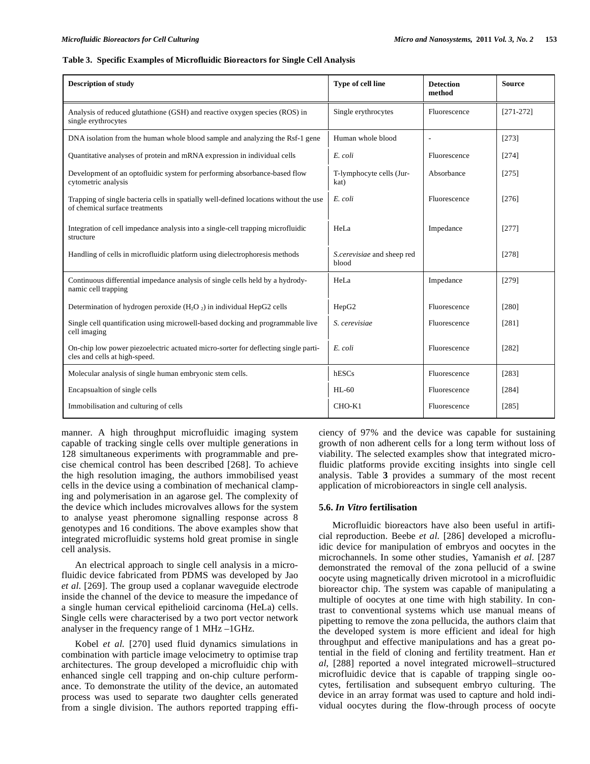#### **Table 3. Specific Examples of Microfluidic Bioreactors for Single Cell Analysis**

| <b>Description of study</b>                                                                                             | <b>Type of cell line</b>            | <b>Detection</b><br>method | <b>Source</b> |
|-------------------------------------------------------------------------------------------------------------------------|-------------------------------------|----------------------------|---------------|
| Analysis of reduced glutathione (GSH) and reactive oxygen species (ROS) in<br>single erythrocytes                       | Single erythrocytes                 | Fluorescence               | $[271-272]$   |
| DNA isolation from the human whole blood sample and analyzing the Rsf-1 gene                                            | Human whole blood                   | $\overline{\phantom{a}}$   | [273]         |
| Quantitative analyses of protein and mRNA expression in individual cells                                                | E. coli                             | Fluorescence               | [274]         |
| Development of an optofluidic system for performing absorbance-based flow<br>cytometric analysis                        | T-lymphocyte cells (Jur-<br>kat)    | Absorbance                 | [275]         |
| Trapping of single bacteria cells in spatially well-defined locations without the use<br>of chemical surface treatments | E. coli                             | Fluorescence               | [276]         |
| Integration of cell impedance analysis into a single-cell trapping microfluidic<br>structure                            | HeLa                                | Impedance                  | [277]         |
| Handling of cells in microfluidic platform using dielectrophoresis methods                                              | S.cerevisiae and sheep red<br>blood |                            | [278]         |
| Continuous differential impedance analysis of single cells held by a hydrody-<br>namic cell trapping                    | HeLa                                | Impedance                  | [279]         |
| Determination of hydrogen peroxide $(H_2O_2)$ in individual HepG2 cells                                                 | HepG2                               | Fluorescence               | [280]         |
| Single cell quantification using microwell-based docking and programmable live<br>cell imaging                          | S. cerevisiae                       | Fluorescence               | [281]         |
| On-chip low power piezoelectric actuated micro-sorter for deflecting single parti-<br>cles and cells at high-speed.     | E. coli                             | Fluorescence               | $[282]$       |
| Molecular analysis of single human embryonic stem cells.                                                                | hESCs                               | Fluorescence               | [283]         |
| Encapsualtion of single cells                                                                                           | $HI - 60$                           | Fluorescence               | [284]         |
| Immobilisation and culturing of cells                                                                                   | $CHO-K1$                            | Fluorescence               | [285]         |

manner. A high throughput microfluidic imaging system capable of tracking single cells over multiple generations in 128 simultaneous experiments with programmable and precise chemical control has been described [268]. To achieve the high resolution imaging, the authors immobilised yeast cells in the device using a combination of mechanical clamping and polymerisation in an agarose gel. The complexity of the device which includes microvalves allows for the system to analyse yeast pheromone signalling response across 8 genotypes and 16 conditions. The above examples show that integrated microfluidic systems hold great promise in single cell analysis.

An electrical approach to single cell analysis in a microfluidic device fabricated from PDMS was developed by Jao *et al.* [269]. The group used a coplanar waveguide electrode inside the channel of the device to measure the impedance of a single human cervical epithelioid carcinoma (HeLa) cells. Single cells were characterised by a two port vector network analyser in the frequency range of 1 MHz –1GHz.

Kobel *et al.* [270] used fluid dynamics simulations in combination with particle image velocimetry to optimise trap architectures. The group developed a microfluidic chip with enhanced single cell trapping and on-chip culture performance. To demonstrate the utility of the device, an automated process was used to separate two daughter cells generated from a single division. The authors reported trapping efficiency of 97% and the device was capable for sustaining growth of non adherent cells for a long term without loss of viability. The selected examples show that integrated microfluidic platforms provide exciting insights into single cell analysis. Table **3** provides a summary of the most recent application of microbioreactors in single cell analysis.

# **5.6.** *In Vitro* **fertilisation**

Microfluidic bioreactors have also been useful in artificial reproduction. Beebe *et al.* [286] developed a microfluidic device for manipulation of embryos and oocytes in the microchannels. In some other studies, Yamanish *et al.* [287 demonstrated the removal of the zona pellucid of a swine oocyte using magnetically driven microtool in a microfluidic bioreactor chip. The system was capable of manipulating a multiple of oocytes at one time with high stability. In contrast to conventional systems which use manual means of pipetting to remove the zona pellucida, the authors claim that the developed system is more efficient and ideal for high throughput and effective manipulations and has a great potential in the field of cloning and fertility treatment. Han *et al*, [288] reported a novel integrated microwell–structured microfluidic device that is capable of trapping single oocytes, fertilisation and subsequent embryo culturing. The device in an array format was used to capture and hold individual oocytes during the flow-through process of oocyte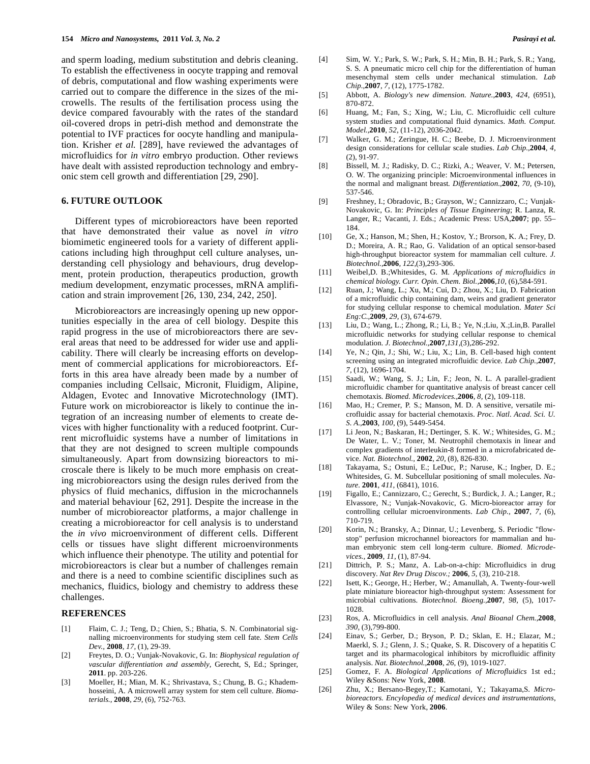and sperm loading, medium substitution and debris cleaning. To establish the effectiveness in oocyte trapping and removal of debris, computational and flow washing experiments were carried out to compare the difference in the sizes of the microwells. The results of the fertilisation process using the device compared favourably with the rates of the standard oil-covered drops in petri-dish method and demonstrate the potential to IVF practices for oocyte handling and manipulation. Krisher *et al.* [289], have reviewed the advantages of microfluidics for *in vitro* embryo production. Other reviews have dealt with assisted reproduction technology and embryonic stem cell growth and differentiation [29, 290].

# **6. FUTURE OUTLOOK**

Different types of microbioreactors have been reported that have demonstrated their value as novel *in vitro* biomimetic engineered tools for a variety of different applications including high throughput cell culture analyses, understanding cell physiology and behaviours, drug development, protein production, therapeutics production, growth medium development, enzymatic processes, mRNA amplification and strain improvement [26, 130, 234, 242, 250].

Microbioreactors are increasingly opening up new opportunities especially in the area of cell biology. Despite this rapid progress in the use of microbioreactors there are several areas that need to be addressed for wider use and applicability. There will clearly be increasing efforts on development of commercial applications for microbioreactors. Efforts in this area have already been made by a number of companies including Cellsaic, Micronit, Fluidigm, Alipine, Aldagen, Evotec and Innovative Microtechnology (IMT). Future work on microbioreactor is likely to continue the integration of an increasing number of elements to create devices with higher functionality with a reduced footprint. Current microfluidic systems have a number of limitations in that they are not designed to screen multiple compounds simultaneously. Apart from downsizing bioreactors to microscale there is likely to be much more emphasis on creating microbioreactors using the design rules derived from the physics of fluid mechanics, diffusion in the microchannels and material behaviour [62, 291]. Despite the increase in the number of microbioreactor platforms, a major challenge in creating a microbioreactor for cell analysis is to understand the *in vivo* microenvironment of different cells. Different cells or tissues have slight different microenvironments which influence their phenotype. The utility and potential for microbioreactors is clear but a number of challenges remain and there is a need to combine scientific disciplines such as mechanics, fluidics, biology and chemistry to address these challenges.

#### **REFERENCES**

- [1] Flaim, C. J.; Teng, D.; Chien, S.; Bhatia, S. N. Combinatorial signalling microenvironments for studying stem cell fate*. Stem Cells Dev.,* **2008***, 17,* (1), 29-39.
- [2] Freytes, D. O.; Vunjak-Novakovic, G. In: *Biophysical regulation of vascular differentiation and assembly*, Gerecht, S, Ed.; Springer, **2011**. pp. 203-226.
- [3] Moeller, H.; Mian, M. K.; Shrivastava, S.; Chung, B. G.; Khademhosseini, A. A microwell array system for stem cell culture*. Biomaterials.,* **2008***, 29,* (6), 752-763.
- [4] Sim, W. Y.; Park, S. W.; Park, S. H.; Min, B. H.; Park, S. R.; Yang, S. S. A pneumatic micro cell chip for the differentiation of human mesenchymal stem cells under mechanical stimulation. *Lab Chip.,***2007***, 7,* (12), 1775-1782.
- [5] Abbott, A. *Biology's new dimension. Nature.,***2003***, 424,* (6951), 870-872.
- [6] Huang, M.; Fan, S.; Xing, W.; Liu, C. Microfluidic cell culture system studies and computational fluid dynamics. *Math. Comput. Model.,***2010***, 52,* (11-12), 2036-2042.
- [7] Walker, G. M.; Zeringue, H. C.; Beebe, D. J. Microenvironment design considerations for cellular scale studies. *Lab Chip.,***2004***, 4,*  (2), 91-97.
- [8] Bissell, M. J.; Radisky, D. C.; Rizki, A.; Weaver, V. M.; Petersen, O. W. The organizing principle: Microenvironmental influences in the normal and malignant breast*. Differentiation.,***2002***, 70,* (9-10), 537-546.
- [9] Freshney, I.; Obradovic, B.; Grayson, W.; Cannizzaro, C.; Vunjak-Novakovic, G. In: *Principles of Tissue Engineering*; R. Lanza, R. Langer, R.; Vacanti, J. Eds.; Academic Press: USA,**2007**; pp. 55– 184.
- [10] Ge, X.; Hanson, M.; Shen, H.; Kostov, Y.; Brorson, K. A.; Frey, D. D.; Moreira, A. R.; Rao, G. Validation of an optical sensor-based high-throughput bioreactor system for mammalian cell culture. *J. Biotechnol.,***2006***, 122,*(3),293-306.
- [11] Weibel,D. B.;Whitesides, G. M. *Applications of microfluidics in chemical biology. Curr. Opin. Chem. Biol.,***2006***,10,* (6),584-591.
- [12] Ruan, J.; Wang, L.; Xu, M.; Cui, D.; Zhou, X.; Liu, D. Fabrication of a microfluidic chip containing dam, weirs and gradient generator for studying cellular response to chemical modulation. *Mater Sci Eng:C.,***2009***, 29,* (3), 674-679.
- [13] Liu, D.; Wang, L.; Zhong, R.; Li, B.; Ye, N.;Liu, X.;Lin,B. Parallel microfluidic networks for studying cellular response to chemical modulation*. J. Biotechnol.,***2007***,131,*(3),286-292.
- [14] Ye, N.; Qin, J.; Shi, W.; Liu, X.; Lin, B. Cell-based high content screening using an integrated microfluidic device*. Lab Chip.,***2007***, 7,* (12), 1696-1704.
- [15] Saadi, W.; Wang, S. J.; Lin, F.; Jeon, N. L. A parallel-gradient microfluidic chamber for quantitative analysis of breast cancer cell chemotaxis*. Biomed. Microdevices.,***2006***, 8,* (2), 109-118.
- [16] Mao, H.; Cremer, P. S.; Manson, M. D. A sensitive, versatile microfluidic assay for bacterial chemotaxis. *Proc. Natl. Acad. Sci. U. S. A.,***2003***, 100,* (9), 5449-5454.
- [17] Li Jeon, N.; Baskaran, H.; Dertinger, S. K. W.; Whitesides, G. M.; De Water, L. V.; Toner, M. Neutrophil chemotaxis in linear and complex gradients of interleukin-8 formed in a microfabricated device. *Nat. Biotechnol.,* **2002***, 20,* (8), 826-830.
- [18] Takayama, S.; Ostuni, E.; LeDuc, P.; Naruse, K.; Ingber, D. E.; Whitesides, G. M. Subcellular positioning of small molecules. *Nature.* **2001***, 411,* (6841), 1016.
- [19] Figallo, E.; Cannizzaro, C.; Gerecht, S.; Burdick, J. A.; Langer, R.; Elvassore, N.; Vunjak-Novakovic, G. Micro-bioreactor array for controlling cellular microenvironments. *Lab Chip.,* **2007***, 7,* (6), 710-719.
- [20] Korin, N.; Bransky, A.; Dinnar, U.; Levenberg, S. Periodic "flowstop" perfusion microchannel bioreactors for mammalian and human embryonic stem cell long-term culture. *Biomed. Microdevices.,* **2009***, 11,* (1), 87-94.
- [21] Dittrich, P. S.; Manz, A. Lab-on-a-chip: Microfluidics in drug discovery. *Nat Rev Drug Discov.;* **2006***, 5,* (3), 210-218.
- [22] Isett, K.; George, H.; Herber, W.; Amanullah, A. Twenty-four-well plate miniature bioreactor high-throughput system: Assessment for microbial cultivations. *Biotechnol. Bioeng.,***2007***, 98,* (5), 1017- 1028.
- [23] Ros, A. Microfluidics in cell analysis. *Anal Bioanal Chem.,***2008***, 390,* (3),799-800.
- [24] Einav, S.; Gerber, D.; Bryson, P. D.; Sklan, E. H.; Elazar, M.; Maerkl, S. J.; Glenn, J. S.; Quake, S. R. Discovery of a hepatitis C target and its pharmacological inhibitors by microfluidic affinity analysis. *Nat. Biotechnol.,***2008***, 26,* (9), 1019-1027.
- [25] Gomez, F. A. *Biological Applications of Microfluidics* 1st ed.; Wiley &Sons: New York, **2008**.
- [26] Zhu, X.; Bersano-Begey,T.; Kamotani, Y.; Takayama,S. *Microbioreactors. Encylopedia of medical devices and instrumentations*, Wiley & Sons: New York, **2006**.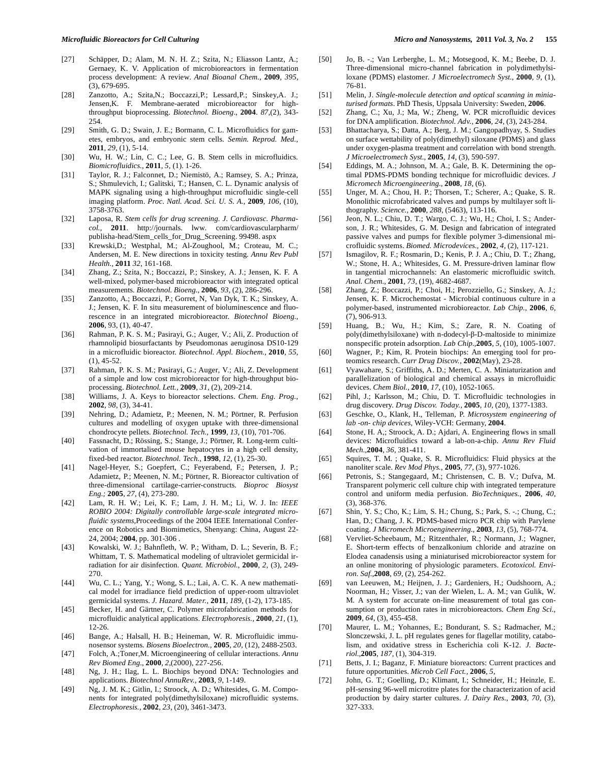- [27] Schäpper, D.; Alam, M. N. H. Z.; Szita, N.; Eliasson Lantz, A.; Gernaey, K. V. Application of microbioreactors in fermentation process development: A review. *Anal Bioanal Chem.,* **2009***, 395,*  (3), 679-695.
- [28] Zanzotto, A.; Szita,N.; Boccazzi,P.; Lessard,P.; Sinskey,A. J.; Jensen,K. F. Membrane-aerated microbioreactor for highthroughput bioprocessing. *Biotechnol. Bioeng*., **2004**. *87,*(2), 343- 254.
- [29] Smith, G. D.; Swain, J. E.; Bormann, C. L. Microfluidics for gametes, embryos, and embryonic stem cells. *Semin. Reprod. Med.,* **2011***, 29,* (1), 5-14.
- [30] Wu, H. W.; Lin, C. C.; Lee, G. B*.* Stem cells in microfluidics*. Biomicrofluidics.,* **2011***, 5,* (1). 1-26.
- [31] Taylor, R. J.; Falconnet, D.; Niemistö, A.; Ramsey, S. A.; Prinza, S.; Shmulevich, I.; Galitski, T.; Hansen, C. L. Dynamic analysis of MAPK signaling using a high-throughput microfluidic single-cell imaging platform. *Proc. Natl. Acad. Sci. U. S. A.,* **2009***, 106,* (10), 3758-3763.
- [32] Laposa, R. *Stem cells for drug screening. J. Cardiovasc. Pharmacol.,* **2011**. http://journals. lww. com/cardiovascularpharm/ publisha-head/Stem\_cells\_for\_Drug\_Screening. 99498. aspx
- [33] Krewski,D.; Westphal, M.; Al-Zoughool, M.; Croteau, M. C.; Andersen, M. E. New directions in toxicity testing*. Annu Rev Publ Health.,* **2011** *32*, 161-168.
- [34] Zhang, Z.; Szita, N.; Boccazzi, P.; Sinskey, A. J.; Jensen, K. F. A well-mixed, polymer-based microbioreactor with integrated optical measurements*. Biotechnol. Bioeng.,* **2006***, 93,* (2), 286-296.
- [35] Zanzotto, A.; Boccazzi, P.; Gorret, N, Van Dyk, T. K.; Sinskey, A. J.; Jensen, K. F. In situ measurement of bioluminescence and fluorescence in an integrated microbioreactor. *Biotechnol Bioeng.,* **2006**, 93, (1), 40-47.
- [36] Rahman, P. K. S. M.; Pasirayi, G.; Auger, V.; Ali, Z. Production of rhamnolipid biosurfactants by Pseudomonas aeruginosa DS10-129 in a microfluidic bioreactor. *Biotechnol. Appl. Biochem.,* **2010***, 55,*   $(1), 45-52.$
- [37] Rahman, P. K. S. M.; Pasirayi, G.; Auger, V.; Ali, Z. Development of a simple and low cost microbioreactor for high-throughput bioprocessing. *Biotechnol. Lett.,* **2009***, 31,* (2), 209-214.
- [38] Williams, J. A. Keys to bioreactor selections. *Chem. Eng. Prog.,* **2002***, 98,* (3), 34-41.
- [39] Nehring, D.; Adamietz, P.; Meenen, N. M.; Pörtner, R. Perfusion cultures and modelling of oxygen uptake with three-dimensional chondrocyte pellets. *Biotechnol. Tech.,* **1999***, 13,* (10), 701-706.
- [40] Fassnacht, D.; Rössing, S.; Stange, J.; Pörtner, R. Long-term cultivation of immortalised mouse hepatocytes in a high cell density, fixed-bed reactor. *Biotechnol. Tech.,* **1998***, 12,* (1), 25-30.
- [41] Nagel-Heyer, S.; Goepfert, C.; Feyerabend, F.; Petersen, J. P.; Adamietz, P.; Meenen, N. M.; Pörtner, R. Bioreactor cultivation of three-dimensional cartilage-carrier-constructs. *Bioproc Biosyst Eng.;* **2005***, 27,* (4), 273-280.
- [42] Lam, R. H. W.; Lei, K. F.; Lam, J. H. M.; Li, W. J. In: *IEEE ROBIO 2004: Digitally controllable large-scale integrated microfluidic systems,*Proceedings of the 2004 IEEE International Conference on Robotics and Biomimetics, Shenyang: China, August 22- 24, 2004; 2**004**, pp. 301-306 .
- [43] Kowalski, W. J.; Bahnfleth, W. P.; Witham, D. L.; Severin, B. F.; Whittam, T. S. Mathematical modeling of ultraviolet germicidal irradiation for air disinfection. *Quant. Microbiol.,* **2000***, 2,* (3), 249- 270.
- [44] Wu, C. L.; Yang, Y.; Wong, S. L.; Lai, A. C. K. A new mathematical model for irradiance field prediction of upper-room ultraviolet germicidal systems. *J. Hazard. Mater.,* **2011***, 189,* (1-2), 173-185.
- [45] Becker, H. and Gärtner, C. Polymer microfabrication methods for microfluidic analytical applications. *Electrophoresis.,* **2000***, 21,* (1), 12-26.
- [46] Bange, A.; Halsall, H. B.; Heineman, W. R. Microfluidic immunosensor systems*. Biosens Bioelectron.,* **2005***, 20,* (12), 2488-2503.
- [47] Folch, A.;Toner,M. Microengineering of cellular interactions. *Annu Rev Biomed Eng*., **2000**, *2*,(2000), 227-256.
- [48] Ng, J. H.; Ilag, L. L. Biochips beyond DNA: Technologies and applications. *Biotechnol AnnuRev.,* **2003***, 9*, 1-149.
- [49] Ng, J. M. K.; Gitlin, I.; Stroock, A. D.; Whitesides, G. M. Components for integrated poly(dimethylsiloxane) microfluidic systems. *Electrophoresis.,* **2002***, 23,* (20), 3461-3473.
- [50] Jo, B. -.; Van Lerberghe, L. M.; Motsegood, K. M.; Beebe, D. J. Three-dimensional micro-channel fabrication in polydimethylsiloxane (PDMS) elastomer. *J Microelectromech Syst.,* **2000***, 9,* (1), 76-81.
- [51] Melin, J. *Single-molecule detection and optical scanning in miniaturised formats*. PhD Thesis, Uppsala University: Sweden, **2006**.
- [52] Zhang, C.; Xu, J.; Ma, W.; Zheng, W. PCR microfluidic devices for DNA amplification. *Biotechnol. Adv.,* **2006***, 24,* (3), 243-284.
- [53] Bhattacharya, S.; Datta, A.; Berg, J. M.; Gangopadhyay, S. Studies on surface wettability of poly(dimethyl) siloxane (PDMS) and glass under oxygen-plasma treatment and correlation with bond strength. *J Microelectromech Syst.,* **2005***, 14,* (3), 590-597.
- [54] Eddings, M. A.; Johnson, M. A.; Gale, B. K. Determining the optimal PDMS-PDMS bonding technique for microfluidic devices. *J Micromech Microengineering.,* **2008***, 18,* (6).
- [55] Unger, M. A.; Chou, H. P.; Thorsen, T.; Scherer, A.; Quake, S. R. Monolithic microfabricated valves and pumps by multilayer soft lithography. *Science.,* **2000***, 288,* (5463), 113-116.
- [56] Jeon, N. L.; Chiu, D. T.; Wargo, C. J.; Wu, H.; Choi, I. S.; Anderson, J. R.; Whitesides, G. M. Design and fabrication of integrated passive valves and pumps for flexible polymer 3-dimensional microfluidic systems. *Biomed. Microdevices.,* **2002***, 4,* (2), 117-121.
- [57] Ismagilov, R. F.; Rosmarin, D.; Kenis, P. J. A.; Chiu, D. T.; Zhang, W.; Stone, H. A.; Whitesides, G. M. Pressure-driven laminar flow in tangential microchannels: An elastomeric microfluidic switch*. Anal. Chem.,* **2001***, 73,* (19), 4682-4687.
- [58] Zhang, Z.; Boccazzi, P.; Choi, H.; Perozziello, G.; Sinskey, A. J.; Jensen, K. F. Microchemostat - Microbial continuous culture in a polymer-based, instrumented microbioreactor. *Lab Chip.,* **2006***, 6,*  (7), 906-913.
- [59] Huang, B.; Wu, H.; Kim, S.; Zare, R. N. Coating of poly(dimethylsiloxane) with n-dodecyl-ß-D-maltoside to minimize nonspecific protein adsorption. *Lab Chip.,***2005***, 5,* (10), 1005-1007.
- [60] Wagner, P.; Kim, R. Protein biochips: An emerging tool for proteomics research. *Curr Drug Discov.,* **2002**(May), 23-28.
- [61] Vyawahare, S.; Griffiths, A. D.; Merten, C. A. Miniaturization and parallelization of biological and chemical assays in microfluidic devices. *Chem Biol.,* **2010***, 17,* (10), 1052-1065.
- [62] Pihl, J.; Karlsson, M.; Chiu, D. T. Microfluidic technologies in drug discovery. *Drug Discov. Today.,* **2005***, 10,* (20), 1377-1383.
- [63] Geschke, O., Klank, H., Telleman, P. *Microsystem engineering of lab -on- chip devices*, Wiley-VCH: Germany, **2004**.
- [64] Stone, H. A,; Stroock, A. D.; Ajdari, A. Engineering flows in small devices: Microfluidics toward a lab-on-a-chip. *Annu Rev Fluid Mech.,***2004***, 36*, 381-411.
- [65] Squires, T. M. ; Quake, S. R. Microfluidics: Fluid physics at the nanoliter scale. *Rev Mod Phys.,* **2005***, 77,* (3), 977-1026.
- [66] Petronis, S.; Stangegaard, M.; Christensen, C. B. V.; Dufva, M. Transparent polymeric cell culture chip with integrated temperature control and uniform media perfusion. *BioTechniques.,* **2006***, 40,*  (3), 368-376.
- [67] Shin, Y. S.; Cho, K.; Lim, S. H.; Chung, S.; Park, S. -.; Chung, C.; Han, D.; Chang, J. K. PDMS-based micro PCR chip with Parylene coating. *J Micromech Microengineering.,* **2003***, 13,* (5), 768-774.
- [68] Vervliet-Scheebaum, M.; Ritzenthaler, R.; Normann, J.; Wagner, E. Short-term effects of benzalkonium chloride and atrazine on Elodea canadensis using a miniaturised microbioreactor system for an online monitoring of physiologic parameters. *Ecotoxicol. Environ. Saf.,***2008***, 69,* (2), 254-262.
- [69] van Leeuwen, M.; Heijnen, J. J.; Gardeniers, H.; Oudshoorn, A.; Noorman, H.; Visser, J.; van der Wielen, L. A. M.; van Gulik, W. M. A system for accurate on-line measurement of total gas consumption or production rates in microbioreactors. *Chem Eng Sci.,*  **2009***, 64,* (3), 455-458.
- [70] Maurer, L. M.; Yohannes, E.; Bondurant, S. S.; Radmacher, M.; Slonczewski, J. L. pH regulates genes for flagellar motility, catabolism, and oxidative stress in Escherichia coli K-12. *J. Bacteriol.,***2005***, 187,* (1), 304-319.
- [71] Betts, J. I.; Baganz, F. Miniature bioreactors: Current practices and future opportunities. *Microb Cell Fact.,* **2006***, 5,*
- [72] John, G. T.; Goelling, D.; Klimant, I.; Schneider, H.; Heinzle, E. pH-sensing 96-well microtitre plates for the characterization of acid production by dairy starter cultures. *J. Dairy Res.,* **2003***, 70,* (3), 327-333.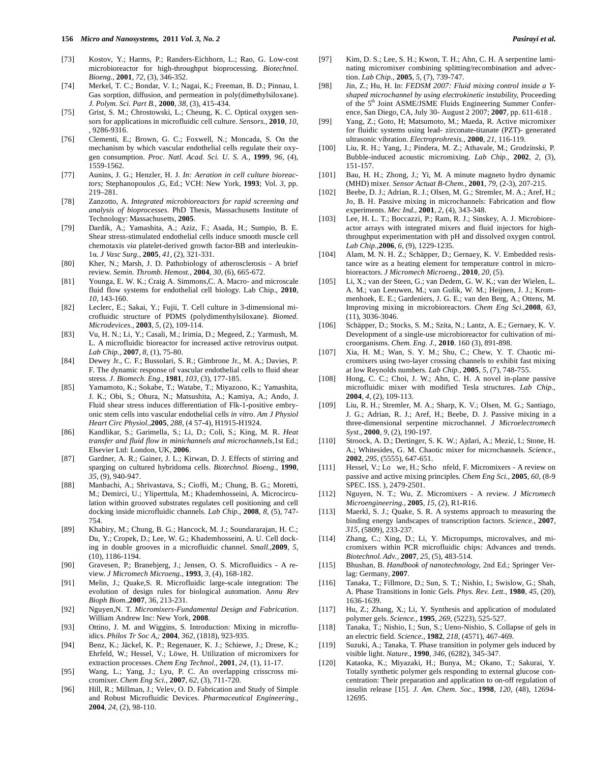- [73] Kostov, Y.; Harms, P.; Randers-Eichhorn, L.; Rao, G. Low-cost microbioreactor for high-throughput bioprocessing. *Biotechnol. Bioeng.,* **2001***, 72,* (3), 346-352.
- [74] Merkel, T. C.; Bondar, V. I.; Nagai, K.; Freeman, B. D.; Pinnau, I. Gas sorption, diffusion, and permeation in poly(dimethylsiloxane). *J. Polym. Sci. Part B.,* **2000***, 38,* (3), 415-434.
- [75] Grist, S. M.; Chrostowski, L.; Cheung, K. C. Optical oxygen sensors for applications in microfluidic cell culture. *Sensors.,* **2010***, 10,*  , 9286-9316.
- [76] Clementi, E.; Brown, G. C.; Foxwell, N.; Moncada, S. On the mechanism by which vascular endothelial cells regulate their oxygen consumption. *Proc. Natl. Acad. Sci. U. S. A.,* **1999***, 96,* (4), 1559-1562.
- [77] Aunins, J. G.; Henzler, H. J. *In: Aeration in cell culture bioreactors;* Stephanopoulos ,G, Ed.; VCH: New York, **1993**; Vol. *3,* pp. 219–281.
- [78] Zanzotto, A. *Integrated microbioreactors for rapid screening and analysis of bioprocesses*. PhD Thesis, Massachusetts Institute of Technology: Massachusetts, **2005**.
- [79] Dardik, A.; Yamashita, A.; Aziz, F.; Asada, H.; Sumpio, B. E. Shear stress-stimulated endothelial cells induce smooth muscle cell chemotaxis *via* platelet-derived growth factor-BB and interleukin-1. *J Vasc Surg.,* **2005***, 41,* (2), 321-331.
- [80] Kher, N.; Marsh, J. D. Pathobiology of atherosclerosis A brief review. *Semin. Thromb. Hemost.,* **2004***, 30,* (6), 665-672.
- [81] Younga, E. W. K.; Craig A. Simmons,C. A. Macro- and microscale fluid flow systems for endothelial cell biology. Lab Chip., **2010**, *10*, 143-160.
- [82] Leclerc, E.; Sakai, Y.; Fujii, T. Cell culture in 3-dimensional microfluidic structure of PDMS (polydimenthylsiloxane). *Biomed. Microdevices.,* **2003***, 5,* (2), 109-114.
- [83] Vu, H. N.; Li, Y.; Casali, M.; Irimia, D.; Megeed, Z.; Yarmush, M. L. A microfluidic bioreactor for increased active retrovirus output. *Lab Chip.,* **2007***, 8,* (1), 75-80.
- [84] Dewey Jr., C. F.; Bussolari, S. R.; Gimbrone Jr., M. A.; Davies, P. F. The dynamic response of vascular endothelial cells to fluid shear stress. *J. Biomech. Eng.,* **1981***, 103,* (3), 177-185.
- [85] Yamamoto, K.; Sokabe, T.; Watabe, T.; Miyazono, K.; Yamashita, J. K.; Obi, S.; Ohura, N.; Matsushita, A.; Kamiya, A.; Ando, J. Fluid shear stress induces differentiation of Flk-1-positive embryonic stem cells into vascular endothelial cells *in vitro*. *Am J Physiol Heart Circ Physiol.,***2005***, 288,* (4 57-4), H1915-H1924.
- [86] Kandlikar, S.; Garimella, S.; Li, D.; Coli, S.; King, M. R. *Heat transfer and fluid flow in minichannels and microchannels,*1st Ed.; Elsevier Ltd: London, UK, **2006**.
- [87] Gardner, A. R.; Gainer, J. L.; Kirwan, D. J. Effects of stirring and sparging on cultured hybridoma cells. *Biotechnol. Bioeng.,* **1990***, 35,* (9), 940-947.
- [88] Manbachi, A.; Shrivastava, S.; Cioffi, M.; Chung, B. G.; Moretti, M.; Demirci, U.; Yliperttula, M.; Khademhosseini, A. Microcirculation within grooved substrates regulates cell positioning and cell docking inside microfluidic channels. *Lab Chip.,* **2008***, 8,* (5), 747- 754.
- [89] Khabiry, M.; Chung, B. G.; Hancock, M. J.; Soundararajan, H. C.; Du, Y.; Cropek, D.; Lee, W. G.; Khademhosseini, A. U. Cell docking in double grooves in a microfluidic channel. *Small.,***2009***, 5,*  (10), 1186-1194.
- [90] Gravesen, P.; Branebjerg, J.; Jensen, O. S. Microfluidics A review. *J Micromech Microeng.,* **1993***, 3,* (4), 168-182.
- [91] Melin, J.; Quake,S. R. Microfluidic large-scale integration: The evolution of design rules for biological automation. A*nnu Rev Bioph Biom.,***2007***,* 36, 213-231.
- [92] Nguyen*,*N. T. *Micromixers-Fundamental Design and Fabrication*. William Andrew Inc: New York, **2008**.
- [93] Ottino, J. M. and Wiggins, S. Introduction: Mixing in microfluidics. *Philos Tr Soc A,;* **2004***, 362,* (1818), 923-935.
- [94] Benz, K.; Jäckel, K. P.; Regenauer, K. J.; Schiewe, J.; Drese, K.; Ehrfeld, W.; Hessel, V.; Löwe, H. Utilization of micromixers for extraction processes. *Chem Eng Technol.,* **2001***, 24,* (1), 11-17.
- [95] Wang, L.; Yang, J.; Lyu, P. C. An overlapping crisscross micromixer. *Chem Eng Sci.,* **2007***, 62,* (3), 711-720.
- [96] Hill, R.; Millman, J.; Velev, O. D. Fabrication and Study of Simple and Robust Microfluidic Devices. *Pharmaceutical Engineering.,*  **2004***, 24,* (2), 98-110.
- [97] Kim, D. S.; Lee, S. H.; Kwon, T. H.; Ahn, C. H. A serpentine laminating micromixer combining splitting/recombination and advection. *Lab Chip.,* **2005***, 5,* (7), 739-747.
- [98] Jin, Z.; Hu, H. In: *FEDSM 2007: Fluid mixing control inside a Yshaped microchannel by using electrokinetic instability,* Proceeding of the 5<sup>th</sup> Joint ASME/JSME Fluids Engineering Summer Conference, San Diego, CA, July 30- August 2 2007; **2007**, pp. 611-618 .
- [99] Yang, Z.; Goto, H; Matsumoto, M.; Maeda, R. Active micromixer for fluidic systems using lead- zirconate-titanate (PZT)- generated ultrasonic vibration. *Electroprohresis.,* **2000***, 21,* 116-119.
- [100] Liu, R. H.; Yang, J.; Pindera, M. Z.; Athavale, M.; Grodzinski, P. Bubble-induced acoustic micromixing. *Lab Chip.,* **2002***, 2,* (3), 151-157.
- [101] Bau, H. H.; Zhong, J.; Yi, M. A minute magneto hydro dynamic (MHD) mixer. *Sensor Actuat B-Chem.,* **2001***, 79,* (2-3), 207-215.
- [102] Beebe, D. J.; Adrian, R. J.; Olsen, M. G.; Stremler, M. A.; Aref, H.; Jo, B. H. Passive mixing in microchannels: Fabrication and flow experiments. *Mec Ind.,* **2001***, 2,* (4), 343-348.
- [103] Lee, H. L. T.; Boccazzi, P.; Ram, R. J.; Sinskey, A. J. Microbioreactor arrays with integrated mixers and fluid injectors for highthroughput experimentation with pH and dissolved oxygen control. *Lab Chip.,***2006***, 6,* (9), 1229-1235.
- [104] Alam, M. N. H. Z.; Schäpper, D.; Gernaey, K. V. Embedded resistance wire as a heating element for temperature control in microbioreactors. *J Micromech Microeng.,* **2010***, 20,* (5).
- [105] Li, X.; van der Steen, G.; van Dedem, G. W. K.; van der Wielen, L. A. M.; van Leeuwen, M.; van Gulik, W. M.; Heijnen, J. J.; Krommenhoek, E. E.; Gardeniers, J. G. E.; van den Berg, A.; Ottens, M. Improving mixing in microbioreactors. *Chem Eng Sci.,***2008***, 63,*  (11), 3036-3046.
- [106] Schäpper, D.; Stocks, S. M.; Szita, N.; Lantz, A. E.; Gernaey, K. V. Development of a single-use microbioreactor for cultivation of microorganisms. *Chem. Eng. J.,* **2010**. 160 (3), 891-898.
- [107] Xia, H. M.; Wan, S. Y. M.; Shu, C.; Chew, Y. T. Chaotic micromixers using two-layer crossing channels to exhibit fast mixing at low Reynolds numbers. *Lab Chip.,* **2005***, 5,* (7), 748-755.
- [108] Hong, C. C.; Choi, J. W.; Ahn, C. H. A novel in-plane passive microfluidic mixer with modified Tesla structures. *Lab Chip.,*  **2004***, 4,* (2), 109-113.
- [109] Liu, R. H.; Stremler, M. A.; Sharp, K. V.; Olsen, M. G.; Santiago, J. G.; Adrian, R. J.; Aref, H.; Beebe, D. J. Passive mixing in a three-dimensional serpentine microchannel. *J Microelectromech Syst.,* **2000***, 9,* (2), 190-197.
- [110] Stroock, A. D.; Dertinger, S. K. W.; Ajdari, A.; Mezić, I.; Stone, H. A.; Whitesides, G. M. Chaotic mixer for microchannels. *Science.,* **2002***, 295,* (5555), 647-651.
- [111] Hessel, V.; Lowe, H.; Schonfeld, F. Micromixers A review on passive and active mixing principles*. Chem Eng Sci.,* **2005***, 60,* (8-9 SPEC. ISS. ), 2479-2501.
- [112] Nguyen, N. T.; Wu, Z. Micromixers A review. *J Micromech Microengineering.,* **2005***, 15,* (2), R1-R16.
- [113] Maerkl, S. J.; Quake, S. R. A systems approach to measuring the binding energy landscapes of transcription factors. *Science.,* **2007***, 315,* (5809), 233-237.
- [114] Zhang, C.; Xing, D.; Li, Y. Micropumps, microvalves, and micromixers within PCR microfluidic chips: Advances and trends. *Biotechnol. Adv.,* **2007***, 25,* (5), 483-514.
- [115] Bhushan, B. *Handbook of nanotechnology,* 2nd Ed.; Springer Verlag: Germany, **2007**.
- [116] Tanaka, T.; Fillmore, D.; Sun, S. T.; Nishio, I.; Swislow, G.; Shah, A. Phase Transitions in Ionic G*e*ls*. Phys. Rev. Lett.,* **1980***, 45,* (20), 1636-1639.
- [117] Hu, Z.; Zhang, X.; Li, Y. Synthesis and application of modulated polymer gels. *Science.,* **1995***, 269,* (5223), 525-527.
- [118] Tanaka, T.; Nishio, I.; Sun, S.; Ueno-Nishio, S. Collapse of gels in an electric field. *Science.,* **1982***, 218,* (4571), 467-469.
- [119] Suzuki, A.; Tanaka, T. Phase transition in polymer gels induced by visible light. *Nature.,* **1990***, 346,* (6282), 345-347.
- [120] Kataoka, K.; Miyazaki, H.; Bunya, M.; Okano, T.; Sakurai, Y. Totally synthetic polymer gels responding to external glucose concentration: Their preparation and application to on-off regulation of insulin release [15]. *J. Am. Chem. Soc.,* **1998***, 120,* (48), 12694- 12695.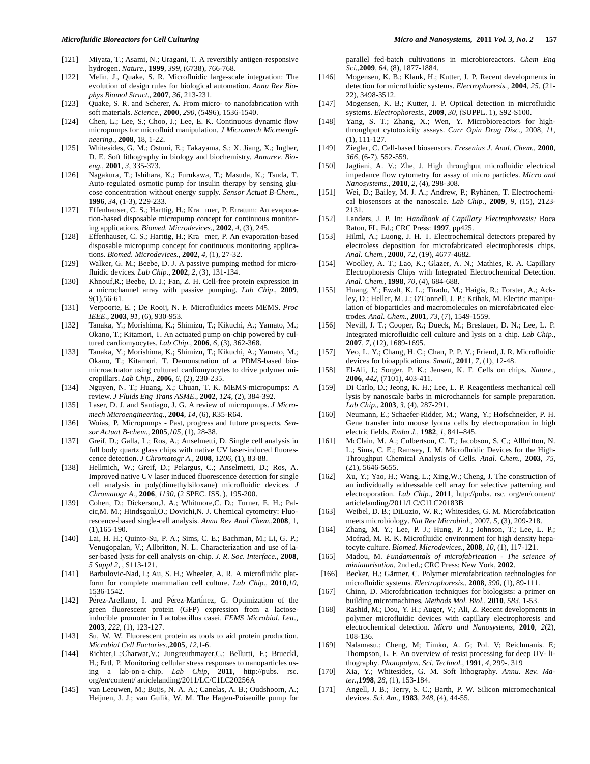- [121] Miyata, T.; Asami, N.; Uragani, T. A reversibly antigen-responsive hydrogen. *Nature.,* **1999***, 399,* (6738), 766-768.
- [122] Melin, J., Quake, S. R. Microfluidic large-scale integration: The evolution of design rules for biological automation. *Annu Rev Biophys Biomol Struct.,* **2007**, *36*, 213-231.
- [123] Quake, S. R. and Scherer, A. From micro- to nanofabrication with soft materials. *Science.,* **2000***, 290,* (5496), 1536-1540.
- [124] Chen, L.; Lee, S.; Choo, J.; Lee, E. K. Continuous dynamic flow micropumps for microfluid manipulation. *J Micromech Microengineering.,* **2008**, 18, 1-22.
- [125] Whitesides, G. M.; Ostuni, E.; Takayama, S.; X. Jiang, X.; Ingber, D. E. Soft lithography in biology and biochemistry. *Annurev. Bioeng.,* **2001***, 3*, 335-373.
- [126] Nagakura, T.; Ishihara, K.; Furukawa, T.; Masuda, K.; Tsuda, T. Auto-regulated osmotic pump for insulin therapy by sensing glucose concentration without energy supply. *Sensor Actuat B-Chem.,*  **1996***, 34,* (1-3), 229-233.
- [127] Effenhauser, C. S.; Harttig, H.; Kra mer, P. Erratum: An evaporation-based disposable micropump concept for continuous monitoring applications. *Biomed. Microdevices.,* **2002***, 4,* (3), 245.
- [128] Effenhauser, C. S.; Harttig, H.; Kramer, P. An evaporation-based disposable micropump concept for continuous monitoring applications. *Biomed. Microdevices.,* **2002***, 4,* (1), 27-32.
- [129] Walker, G. M.; Beebe, D. J. A passive pumping method for microfluidic devices*. Lab Chip.,* **2002***, 2,* (3), 131-134.
- [130] Khnouf,R.; Beebe, D. J.; Fan, Z. H. Cell-free protein expression in a microchannel array with passive pumping. *Lab Chip*., **2009**, 9(1),56-61.
- [131] Verpoorte, E. ; De Rooij, N. F. Microfluidics meets MEMS. *Proc IEEE.,* **2003***, 91,* (6), 930-953.
- [132] Tanaka, Y.; Morishima, K.; Shimizu, T.; Kikuchi, A.; Yamato, M.; Okano, T.; Kitamori, T. An actuated pump on-chip powered by cultured cardiomyocytes. *Lab Chip.,* **2006***, 6,* (3), 362-368.
- [133] Tanaka, Y.; Morishima, K.; Shimizu, T.; Kikuchi, A.; Yamato, M.; Okano, T.; Kitamori, T. Demonstration of a PDMS-based biomicroactuator using cultured cardiomyocytes to drive polymer micropillars. *Lab Chip.,* **2006***, 6,* (2), 230-235.
- [134] Nguyen, N. T.; Huang, X.; Chuan, T. K. MEMS-micropumps: A review. *J Fluids Eng Trans ASME.,* **2002***, 124,* (2), 384-392.
- [135] Laser, D. J. and Santiago, J. G. A review of micropumps. *J Micromech Microengineering.,* **2004***, 14,* (6), R35-R64.
- [136] Woias, P. Micropumps Past, progress and future prospects. *Sensor Actuat B-chem.,* **2005***,105,* (1), 28-38.
- [137] Greif, D.; Galla, L.; Ros, A.; Anselmetti, D. Single cell analysis in full body quartz glass chips with native UV laser-induced fluorescence detection. *J Chromatogr A.,* **2008***, 1206,* (1), 83-88.
- [138] Hellmich, W.; Greif, D.; Pelargus, C.; Anselmetti, D.; Ros, A. Improved native UV laser induced fluorescence detection for single cell analysis in poly(dimethylsiloxane) microfluidic devices. *J Chromatogr A.,* **2006***, 1130,* (2 SPEC. ISS. ), 195-200.
- [139] Cohen, D.; Dickerson, J. A.; Whitmore, C. D.; Turner, E. H.; Palcic,M. M.; Hindsgaul,O.; Dovichi,N. J. Chemical cytometry: Fluorescence-based single-cell analysis. *Annu Rev Anal Chem.,***2008***,* 1, (1),165-190.
- [140] Lai, H. H.; Quinto-Su, P. A.; Sims, C. E.; Bachman, M.; Li, G. P.; Venugopalan, V.; Allbritton, N. L. Characterization and use of laser-based lysis for cell analysis on-chip. *J. R. Soc. Interface.,* **2008***, 5 Suppl 2,* , S113-121.
- [141] Barbulovic-Nad, I.; Au, S. H.; Wheeler, A. R. A microfluidic platform for complete mammalian cell culture. *Lab Chip.,* **2010**,*10*, 1536-1542.
- [142] Perez-Arellano, I. and Perez-Martinez, G. Optimization of the green fluorescent protein (GFP) expression from a lactoseinducible promoter in Lactobacillus casei. *FEMS Microbiol. Lett.,* **2003***, 222,* (1), 123-127.
- [143] Su, W. W. Fluorescent protein as tools to aid protein production. *Microbial Cell Factories.,***2005***, 12,*1-6.
- [144] Richter,L.;Charwat,V.; Jungreuthmayer,C.; Bellutti, F.; Brueckl, H.; Ertl, P. Monitoring cellular stress responses to nanoparticles using a lab-on-a-chip. *Lab Chip*, **2011**, http://pubs. rsc. org/en/content/ articlelanding/2011/LC/C1LC20256A
- [145] van Leeuwen, M.; Buijs, N. A. A.; Canelas, A. B.; Oudshoorn, A.; Heijnen, J. J.; van Gulik, W. M. The Hagen-Poiseuille pump for

parallel fed-batch cultivations in microbioreactors. *Chem Eng Sci.,***2009***, 64,* (8), 1877-1884.

- [146] Mogensen, K. B.; Klank, H.; Kutter, J. P. Recent developments in detection for microfluidic systems. *Electrophoresis.,* **2004***, 25,* (21- 22), 3498-3512.
- [147] Mogensen, K. B.; Kutter, J. P. Optical detection in microfluidic systems*. Electrophoresis.,* **2009***, 30,* (SUPPL. 1), S92-S100.
- [148] Yang, S. T.; Zhang, X.; Wen, Y. Microbioreactors for highthroughput cytotoxicity assays. *Curr Opin Drug Disc.,* 2008*, 11,*  (1), 111-127.
- [149] Ziegler, C. Cell-based biosensors*. Fresenius J. Anal. Chem.,* **2000***, 366,* (6-7), 552-559.
- [150] Jagtiani, A. V.; Zhe, J. High throughput microfluidic electrical impedance flow cytometry for assay of micro particles. *Micro and Nanosystems.,* **2010***, 2,* (4), 298-308.
- [151] Wei, D.; Bailey, M. J. A.; Andrew, P.; Ryhänen, T. Electrochemical biosensors at the nanoscale*. Lab Chip.,* **2009***, 9,* (15), 2123- 2131.
- [152] Landers, J. P. In: *Handbook of Capillary Electrophoresis;* Boca Raton, FL, Ed.; CRC Press: **1997**, pp425.
- [153] Hilml, A.; Luong, J. H. T. Electrochemical detectors prepared by electroless deposition for microfabricated electrophoresis chips*. Anal. Chem.,* **2000***, 72,* (19), 4677-4682.
- [154] Woolley, A. T.; Lao, K.; Glazer, A. N.; Mathies, R. A. Capillary Electrophoresis Chips with Integrated Electrochemical Detection*. Anal. Chem.,* **1998***, 70,* (4), 684-688.
- [155] Huang, Y.; Ewalt, K. L.; Tirado, M.; Haigis, R.; Forster, A.; Ackley, D.; Heller, M. J.; O'Connell, J. P.; Krihak, M. Electric manipulation of bioparticles and macromolecules on microfabricated electrodes*. Anal. Chem.,* **2001***, 73,* (7), 1549-1559.
- [156] Nevill, J. T.; Cooper, R.; Dueck, M.; Breslauer, D. N.; Lee, L. P. Integrated microfluidic cell culture and lysis on a chip*. Lab Chip.,*  **2007***, 7,* (12), 1689-1695.
- [157] Yeo, L. Y.; Chang, H. C.; Chan, P. P. Y.; Friend, J. R. Microfluidic devices for bioapplications*. Small.,* **2011***, 7,* (1), 12-48.
- [158] El-Ali, J.; Sorger, P. K.; Jensen, K. F. Cells on chips*. Nature.,* **2006***, 442,* (7101), 403-411.
- [159] Di Carlo, D.; Jeong, K. H.; Lee, L. P. Reagentless mechanical cell lysis by nanoscale barbs in microchannels for sample preparation*. Lab Chip.,* **2003***, 3,* (4), 287-291.
- [160] Neumann, E.; Schaefer-Ridder, M.; Wang, Y.; Hofschneider, P. H. Gene transfer into mouse lyoma cells by electroporation in high electric fields. *Embo J.,* **1982**, *1*, 841–845.
- [161] McClain, M. A.; Culbertson, C. T.; Jacobson, S. C.; Allbritton, N. L.; Sims, C. E.; Ramsey, J. M. Microfluidic Devices for the High-Throughput Chemical Analysis of Cells*. Anal. Chem.,* **2003***, 75,*  (21), 5646-5655.
- [162] Xu, Y.; Yao, H.; Wang, L.; Xing,W.; Cheng, J. The construction of an individually addressable cell array for selective patterning and electroporation. *Lab Chip.,* **2011**, http://pubs. rsc. org/en/content/ articlelanding/2011/LC/C1LC20183B
- [163] Weibel, D. B.; DiLuzio, W. R.; Whitesides, G. M. Microfabrication meets microbiology*. Nat Rev Microbiol.,* 2007*, 5,* (3), 209-218.
- [164] Zhang, M. Y.; Lee, P. J.; Hung, P. J.; Johnson, T.; Lee, L. P.; Mofrad, M. R. K. Microfluidic environment for high density hepatocyte culture*. Biomed. Microdevices.,* **2008***, 10,* (1), 117-121.
- [165] Madou, M. *Fundamentals of microfabrication The science of miniaturisation,* 2nd ed.; CRC Press: New York, **2002**.
- [166] Becker, H.; Gärtner, C. Polymer microfabrication technologies for microfluidic systems*. Electrophoresis.,* **2008***, 390,* (1), 89-111.
- [167] Chinn, D. Microfabrication techniques for biologists: a primer on building micromachines*. Methods Mol. Biol.,* **2010***, 583,* 1-53.
- [168] Rashid, M.; Dou, Y. H.; Auger, V.; Ali, Z. Recent developments in polymer microfluidic devices with capillary electrophoresis and electrochemical detection. *Micro and Nanosystems*, **2010**, *2*(2), 108-136.
- [169] Nalamasu.; Cheng, M; Timko, A. G; Pol. V; Reichmanis. E; Thompson, L. F. An overview of resist processing for deep UV- lithography*. Photopolym. Sci. Technol.,* **1991***, 4*, 299-. 319
- [170] Xia, Y.; Whitesides, G. M. Soft lithography*. Annu. Rev. Mater.,***1998***, 28,* (1), 153-184.
- [171] Angell, J. B.; Terry, S. C.; Barth, P. W. Silicon micromechanical devices*. Sci. Am.,* **1983***, 248,* (4), 44-55.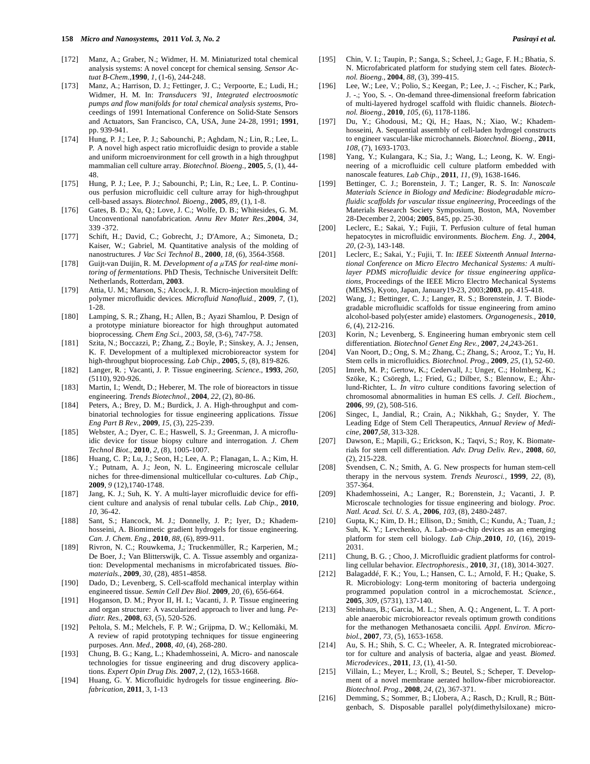- [172] Manz, A.; Graber, N.; Widmer, H. M. Miniaturized total chemical analysis systems: A novel concept for chemical sensing*. Sensor Actuat B-Chem.,***1990***, 1,* (1-6), 244-248.
- [173] Manz, A.; Harrison, D. J.; Fettinger, J. C.; Verpoorte, E.; Ludi, H.; Widmer, H. M. In: *Transducers '91, Integrated electroosmotic pumps and flow manifolds for total chemical analysis systems*, Proceedings of 1991 International Conference on Solid-State Sensors and Actuators, San Francisco, CA, USA, June 24-28, 1991; **1991**, pp. 939-941.
- [174] Hung, P. J.; Lee, P. J.; Sabounchi, P.; Aghdam, N.; Lin, R.; Lee, L. P. A novel high aspect ratio microfluidic design to provide a stable and uniform microenvironment for cell growth in a high throughput mammalian cell culture array*. Biotechnol. Bioeng.,* **2005***, 5,* (1), 44- 48.
- [175] Hung, P. J.; Lee, P. J.; Sabounchi, P.; Lin, R.; Lee, L. P. Continuous perfusion microfluidic cell culture array for high-throughput cell-based assays*. Biotechnol. Bioeng.,* **2005***, 89,* (1), 1-8.
- [176] Gates, B. D.; Xu, Q.; Love, J. C.; Wolfe, D. B.; Whitesides, G. M. Unconventional nanofabrication*. Annu Rev Mater Res.,***2004**, *34*, 339 -372.
- [177] Schift, H.; David, C.; Gobrecht, J.; D'Amore, A.; Simoneta, D.; Kaiser, W.; Gabriel, M. Quantitative analysis of the molding of nanostructures*. J Vac Sci Technol B.,* **2000***, 18,* (6), 3564-3568.
- [178] Guijt-van Duijin, R. M. *Development of a TAS for real-time monitoring of fermentations*. PhD Thesis, Technische Universiteit Delft: Netherlands, Rotterdam, **2003**.
- [179] Attia, U. M.; Marson, S.; Alcock, J. R. Micro-injection moulding of polymer microfluidic devices*. Microfluid Nanofluid.,* **2009***, 7,* (1), 1-28.
- [180] Lamping, S. R.; Zhang, H.; Allen, B.; Ayazi Shamlou, P. Design of a prototype miniature bioreactor for high throughput automated bioprocessing*. Chem Eng Sci.,* 2003*, 58,* (3-6), 747-758.
- [181] Szita, N.; Boccazzi, P.; Zhang, Z.; Boyle, P.; Sinskey, A. J.; Jensen, K. F. Development of a multiplexed microbioreactor system for high-throughput bioprocessing*. Lab Chip.,* **2005***, 5,* (8), 819-826.
- [182] Langer, R. ; Vacanti, J. P. Tissue engineering*. Science.,* **1993***, 260,*  (5110), 920-926.
- [183] Martin, I.; Wendt, D.; Heberer, M. The role of bioreactors in tissue engineering*. Trends Biotechnol.,* **2004***, 22,* (2), 80-86.
- [184] Peters, A.; Brey, D. M.; Burdick, J. A. High-throughput and combinatorial technologies for tissue engineering applications*. Tissue Eng Part B Rev.,* **2009**, *15*, (3), 225-239.
- [185] Webster, A.; Dyer, C. E.; Haswell, S. J.; Greenman, J. A microfluidic device for tissue biopsy culture and interrogation*. J. Chem Technol Biot.,* **2010***, 2,* (8), 1005-1007.
- [186] Huang, C. P.; Lu, J.; Seon, H.; Lee, A. P.; Flanagan, L. A.; Kim, H. Y.; Putnam, A. J.; Jeon, N. L. Engineering microscale cellular niches for three-dimensional multicellular co-cultures. *Lab Chip*., **2009**, *9* (12),1740-1748.
- [187] Jang, K. J.; Suh, K. Y. A multi-layer microfluidic device for efficient culture and analysis of renal tubular cells. *Lab Chip.,* **2010**, *10*, 36-42.
- [188] Sant, S.; Hancock, M. J.; Donnelly, J. P.; Iyer, D.; Khademhosseini, A. Biomimetic gradient hydrogels for tissue engineering*. Can. J. Chem. Eng.,* **2010***, 88,* (6), 899-911.
- [189] Rivron, N. C.; Rouwkema, J.; Truckenmüller, R.; Karperien, M.; De Boer, J.; Van Blitterswijk, C. A. Tissue assembly and organization: Developmental mechanisms in microfabricated tissues*. Biomaterials.,* **2009***, 30,* (28), 4851-4858.
- [190] Dado, D.; Levenberg, S. Cell-scaffold mechanical interplay within engineered tissue*. Semin Cell Dev Biol.* **2009***, 20,* (6), 656-664.
- [191] Hoganson, D. M.; Pryor II, H. I.; Vacanti, J. P. Tissue engineering and organ structure: A vascularized approach to liver and lung*. Pediatr. Res.,* **2008***, 63,* (5), 520-526.
- [192] Peltola, S. M.; Melchels, F. P. W.; Grijpma, D. W.; Kellomäki, M. A review of rapid prototyping techniques for tissue engineering purposes*. Ann. Med.,* **2008***, 40,* (4), 268-280.
- [193] Chung, B. G.; Kang, L.; Khademhosseini, A. Micro- and nanoscale technologies for tissue engineering and drug discovery applications*. Expert Opin Drug Dis.* **2007***, 2,* (12), 1653-1668.
- [194] Huang, G. Y. Microfluidic hydrogels for tissue engineering*. Biofabrication,* **2011***,* 3, 1-13
- [195] Chin, V. I.; Taupin, P.; Sanga, S.; Scheel, J.; Gage, F. H.; Bhatia, S. N. Microfabricated platform for studying stem cell fates*. Biotechnol. Bioeng.,* **2004***, 88,* (3), 399-415.
- [196] Lee, W.; Lee, V.; Polio, S.; Keegan, P.; Lee, J. -.; Fischer, K.; Park, J. -.; Yoo, S. -. On-demand three-dimensional freeform fabrication of multi-layered hydrogel scaffold with fluidic channels. *Biotechnol. Bioeng.,* **2010***, 105,* (6), 1178-1186.
- [197] Du, Y.; Ghodousi, M.; Qi, H.; Haas, N.; Xiao, W.; Khademhosseini, A. Sequential assembly of cell-laden hydrogel constructs to engineer vascular-like microchannels*. Biotechnol. Bioeng.,* **2011***, 108,* (7), 1693-1703.
- [198] Yang, Y.; Kulangara, K.; Sia, J.; Wang, L.; Leong, K. W. Engineering of a microfluidic cell culture platform embedded with nanoscale features*. Lab Chip.,* **2011***, 11,* (9), 1638-1646.
- [199] Bettinger, C. J.; Borenstein, J. T.; Langer, R. S. In: *Nanoscale Materials Science in Biology and Medicine: Biodegradable microfluidic scaffolds for vascular tissue engineering,* Proceedings of the Materials Research Society Symposium, Boston, MA, November 28-December 2, 2004; **2005**, 845, pp. 25-30.
- [200] Leclerc, E.; Sakai, Y.; Fujii, T. Perfusion culture of fetal human hepatocytes in microfluidic environments*. Biochem. Eng. J.,* **2004***, 20,* (2-3), 143-148.
- [201] Leclerc, E.; Sakai, Y.; Fujii, T. In: *IEEE Sixteenth Annual International Conference on Micro Electro Mechanical Systems: A multilayer PDMS microfluidic device for tissue engineering applications,* Proceedings of the IEEE Micro Electro Mechanical Systems (MEMS), Kyoto, Japan, January19-23, 2003;**2003**, pp. 415-418.
- [202] Wang, J.; Bettinger, C. J.; Langer, R. S.; Borenstein, J. T. Biodegradable microfluidic scaffolds for tissue engineering from amino alcohol-based poly(ester amide) elastomers*. Organogenesis.,* **2010***, 6,* (4), 212-216.
- [203] Korin, N.; Levenberg, S. Engineering human embryonic stem cell differentiation*. Biotechnol Genet Eng Rev.,* **2007***, 24,2*43-261.
- [204] Van Noort, D.; Ong, S. M.; Zhang, C.; Zhang, S.; Arooz, T.; Yu, H. Stem cells in microfluidics*. Biotechnol. Prog.,* **2009***, 25,* (1), 52-60.
- [205] Imreh, M. P.; Gertow, K.; Cedervall, J.; Unger, C.; Holmberg, K.; Szöke, K.; Csöregh, L.; Fried, G.; Dilber, S.; Blennow, E.; Ährlund-Richter, L. *In vitro* culture conditions favoring selection of chromosomal abnormalities in human ES cells*. J. Cell. Biochem.,*  **2006***, 99,* (2), 508-516.
- [206] Singec, I., Jandial, R.; Crain, A.; Nikkhah, G.; Snyder, Y. The Leading Edge of Stem Cell Therapeutics*, Annual Review of Medicine,* **2007***,58*, 313-328.
- [207] Dawson, E.; Mapili, G.; Erickson, K.; Taqvi, S.; Roy, K. Biomaterials for stem cell differentiation*. Adv. Drug Deliv. Rev.,* **2008***, 60,*  (2), 215-228.
- [208] Svendsen, C. N.; Smith, A. G. New prospects for human stem-cell therapy in the nervous system*. Trends Neurosci.,* **1999***, 22,* (8), 357-364.
- [209] Khademhosseini, A.; Langer, R.; Borenstein, J.; Vacanti, J. P. Microscale technologies for tissue engineering and biology*. Proc. Natl. Acad. Sci. U. S. A.,* **2006***, 103,* (8), 2480-2487.
- [210] Gupta, K.; Kim, D. H.; Ellison, D.; Smith, C.; Kundu, A.; Tuan, J.; Suh, K. Y.; Levchenko, A. Lab-on-a-chip devices as an emerging platform for stem cell biology*. Lab Chip.,***2010***, 10,* (16), 2019- 2031.
- [211] Chung, B. G. ; Choo, J. Microfluidic gradient platforms for controlling cellular behavior*. Electrophoresis.,* **2010***, 31,* (18), 3014-3027.
- [212] Balagaddé, F. K.; You, L.; Hansen, C. L.; Arnold, F. H.; Quake, S. R. Microbiology: Long-term monitoring of bacteria undergoing programmed population control in a microchemostat*. Science.,* **2005***, 309,* (5731), 137-140.
- [213] Steinhaus, B.; Garcia, M. L.; Shen, A. Q.; Angenent, L. T. A portable anaerobic microbioreactor reveals optimum growth conditions for the methanogen Methanosaeta concilii*. Appl. Environ. Microbiol.,* **2007***, 73,* (5), 1653-1658.
- [214] Au, S. H.; Shih, S. C. C.; Wheeler, A. R. Integrated microbioreactor for culture and analysis of bacteria, algae and yeast*. Biomed. Microdevices.,* **2011***, 13,* (1), 41-50.
- [215] Villain, L.; Meyer, L.; Kroll, S.; Beutel, S.; Scheper, T. Development of a novel membrane aerated hollow-fiber microbioreactor*. Biotechnol. Prog.,* **2008***, 24,* (2), 367-371.
- [216] Demming, S.; Sommer, B.; Llobera, A.; Rasch, D.; Krull, R.; Büttgenbach, S. Disposable parallel poly(dimethylsiloxane) micro-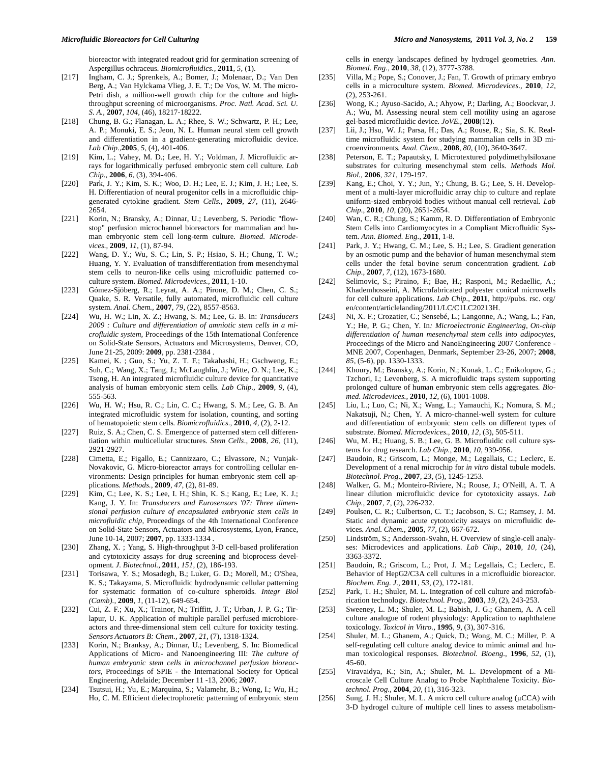bioreactor with integrated readout grid for germination screening of Aspergillus ochraceus*. Biomicrofluidics.,* **2011***, 5,* (1).

- [217] Ingham, C. J.; Sprenkels, A.; Bomer, J.; Molenaar, D.; Van Den Berg, A.; Van Hylckama Vlieg, J. E. T.; De Vos, W. M. The micro-Petri dish, a million-well growth chip for the culture and highthroughput screening of microorganisms*. Proc. Natl. Acad. Sci. U. S. A.,* **2007***, 104,* (46), 18217-18222.
- [218] Chung, B. G.; Flanagan, L. A.; Rhee, S. W.; Schwartz, P. H.; Lee, A. P.; Monuki, E. S.; Jeon, N. L. Human neural stem cell growth and differentiation in a gradient-generating microfluidic device*. Lab Chip.,***2005***, 5,* (4), 401-406.
- [219] Kim, L.; Vahey, M. D.; Lee, H. Y.; Voldman, J. Microfluidic arrays for logarithmically perfused embryonic stem cell culture*. Lab Chip.,* **2006***, 6,* (3), 394-406.
- [220] Park, J. Y.; Kim, S. K.; Woo, D. H.; Lee, E. J.; Kim, J. H.; Lee, S. H. Differentiation of neural progenitor cells in a microfluidic chipgenerated cytokine gradient*. Stem Cells.,* **2009***, 27,* (11), 2646- 2654.
- [221] Korin, N.; Bransky, A.; Dinnar, U.; Levenberg, S. Periodic "flowstop" perfusion microchannel bioreactors for mammalian and human embryonic stem cell long-term culture*. Biomed. Microdevices.,* **2009***, 11,* (1), 87-94.
- [222] Wang, D. Y.; Wu, S. C.; Lin, S. P.; Hsiao, S. H.; Chung, T. W.; Huang, Y. Y. Evaluation of transdifferentiation from mesenchymal stem cells to neuron-like cells using microfluidic patterned coculture system*. Biomed. Microdevices.,* **2011**, 1-10.
- [223] Gómez-Sjöberg, R.; Leyrat, A. A.; Pirone, D. M.; Chen, C. S.; Quake, S. R. Versatile, fully automated, microfluidic cell culture system*. Anal. Chem.,* **2007***, 79,* (22), 8557-8563.
- [224] Wu, H. W.; Lin, X. Z.; Hwang, S. M.; Lee, G. B. In: *Transducers 2009 : Culture and differentiation of amniotic stem cells in a microfluidic system,* Proceedings of the 15th International Conference on Solid-State Sensors, Actuators and Microsystems, Denver, CO, June 21-25, 2009: **2009**, pp. 2381-2384 .
- [225] Kamei, K. ; Guo, S.; Yu, Z. T. F.; Takahashi, H.; Gschweng, E.; Suh, C.; Wang, X.; Tang, J.; McLaughlin, J.; Witte, O. N.; Lee, K.; Tseng, H. An integrated microfluidic culture device for quantitative analysis of human embryonic stem cells*. Lab Chip.,* **2009***, 9,* (4), 555-563.
- [226] Wu, H. W.; Hsu, R. C.; Lin, C. C.; Hwang, S. M.; Lee, G. B. An integrated microfluidic system for isolation, counting, and sorting of hematopoietic stem cells*. Biomicrofluidics.,* **2010***, 4,* (2), 2-12.
- [227] Ruiz, S. A.; Chen, C. S. Emergence of patterned stem cell differentiation within multicellular structures*. Stem Cells.,* **2008***, 26,* (11), 2921-2927.
- [228] Cimetta, E.; Figallo, E.; Cannizzaro, C.; Elvassore, N.; Vunjak-Novakovic, G. Micro-bioreactor arrays for controlling cellular environments: Design principles for human embryonic stem cell applications*. Methods.,* **2009***, 47,* (2), 81-89.
- [229] Kim, C.; Lee, K. S.; Lee, I. H.; Shin, K. S.; Kang, E.; Lee, K. J.; Kang, J. Y. In: *Transducers and Eurosensors '07: Three dimensional perfusion culture of encapsulated embryonic stem cells in microfluidic chip,* Proceedings of the 4th International Conference on Solid-State Sensors, Actuators and Microsystems, Lyon, France, June 10-14, 2007; **2007**, pp. 1333-1334 .
- [230] Zhang, X. ; Yang, S. High-throughput 3-D cell-based proliferation and cytotoxicity assays for drug screening and bioprocess development*. J. Biotechnol.,* **2011***, 151,* (2), 186-193.
- [231] Torisawa, Y. S.; Mosadegh, B.; Luker, G. D.; Morell, M.; O'Shea, K. S.; Takayama, S. Microfluidic hydrodynamic cellular patterning for systematic formation of co-culture spheroids*. Integr Biol (Camb).,* **2009***, 1,* (11-12), 649-654.
- [232] Cui, Z. F.; Xu, X.; Trainor, N.; Triffitt, J. T.; Urban, J. P. G.; Tirlapur, U. K. Application of multiple parallel perfused microbioreactors and three-dimensional stem cell culture for toxicity testing*. Sensors Actuators B: Chem.,* **2007***, 21,* (7), 1318-1324.
- [233] Korin, N.; Branksy, A.; Dinnar, U.; Levenberg, S. In: Biomedical Applications of Micro- and Nanoengineering III: *The culture of human embryonic stem cells in microchannel perfusion bioreactors*, Proceedings of SPIE - the International Society for Optical Engineering, Adelaide; December 11 -13, 2006; 2**007**.
- [234] Tsutsui, H.; Yu, E.; Marquina, S.; Valamehr, B.; Wong, I.; Wu, H.; Ho, C. M. Efficient dielectrophoretic patterning of embryonic stem

cells in energy landscapes defined by hydrogel geometries*. Ann. Biomed. Eng.,* **2010***, 38,* (12), 3777-3788.

- [235] Villa, M.; Pope, S.; Conover, J.; Fan, T. Growth of primary embryo cells in a microculture system*. Biomed. Microdevices.,* **2010***, 12,*  (2), 253-261.
- [236] Wong, K.; Ayuso-Sacido, A.; Ahyow, P.; Darling, A.; Boockvar, J. A.; Wu, M. Assessing neural stem cell motility using an agarose gel-based microfluidic device*. JoVE.,* **2008**(12).
- [237] Lii, J.; Hsu, W. J.; Parsa, H.; Das, A.; Rouse, R.; Sia, S. K. Realtime microfluidic system for studying mammalian cells in 3D microenvironments*. Anal. Chem.,* **2008***, 80,* (10), 3640-3647.
- [238] Peterson, E. T.; Papautsky, I. Microtextured polydimethylsiloxane substrates for culturing mesenchymal stem cells*. Methods Mol. Biol.,* **2006***, 321,* 179-197.
- [239] Kang, E.; Choi, Y. Y.; Jun, Y.; Chung, B. G.; Lee, S. H. Development of a multi-layer microfluidic array chip to culture and replate uniform-sized embryoid bodies without manual cell retrieval*. Lab Chip.,* **2010***, 10,* (20), 2651-2654.
- [240] Wan, C. R.; Chung, S.; Kamm, R. D. Differentiation of Embryonic Stem Cells into Cardiomyocytes in a Compliant Microfluidic System*. Ann. Biomed. Eng.,* **2011**, 1-8.
- [241] Park, J. Y.; Hwang, C. M.; Lee, S. H.; Lee, S. Gradient generation by an osmotic pump and the behavior of human mesenchymal stem cells under the fetal bovine serum concentration gradient*. Lab Chip.,* **2007***, 7,* (12), 1673-1680.
- [242] Selimovic, S.; Piraino, F.; Bae, H.; Rasponi, M.; Redaellic, A.; Khademhosseini, A. Microfabricated polyester conical microwells for cell culture applications. *Lab Chip.,* **2011**, http://pubs. rsc. org/ en/content/articlelanding/2011/LC/C1LC20213H.
- [243] Ni, X. F.; Crozatier, C.; Sensebé, L.; Langonne, A.; Wang, L.; Fan, Y.; He, P. G.; Chen, Y. In*: Microelectronic Engineering, On-chip differentiation of human mesenchymal stem cells into adipocytes,*  Proceedings of the Micro and NanoEngineering 2007 Conference - MNE 2007, Copenhagen, Denmark, September 23-26, 2007; **2008***, 85,* (5-6), pp. 1330-1333.
- [244] Khoury, M.; Bransky, A.; Korin, N.; Konak, L. C.; Enikolopov, G.; Tzchori, I.; Levenberg, S. A microfluidic traps system supporting prolonged culture of human embryonic stem cells aggregates*. Biomed. Microdevices.,* **2010***, 12,* (6), 1001-1008.
- [245] Liu, L.; Luo, C.; Ni, X.; Wang, L.; Yamauchi, K.; Nomura, S. M.; Nakatsuji, N.; Chen, Y. A micro-channel-well system for culture and differentiation of embryonic stem cells on different types of substrate*. Biomed. Microdevices.,* **2010***, 12,* (3), 505-511.
- [246] Wu, M. H.; Huang, S. B.; Lee, G. B. Microfluidic cell culture systems for drug research. *Lab Chip.,* **2010**, *10,* 939-956.
- [247] Baudoin, R.; Griscom, L.; Monge, M.; Legallais, C.; Leclerc, E. Development of a renal microchip for *in vitro* distal tubule models*. Biotechnol. Prog.,* **2007***, 23,* (5), 1245-1253.
- [248] Walker, G. M.; Monteiro-Riviere, N.; Rouse, J.; O'Neill, A. T. A linear dilution microfluidic device for cytotoxicity assays*. Lab Chip.,* **2007***, 7,* (2), 226-232.
- [249] Poulsen, C. R.; Culbertson, C. T.; Jacobson, S. C.; Ramsey, J. M. Static and dynamic acute cytotoxicity assays on microfluidic devices*. Anal. Chem.,* **2005***, 77,* (2), 667-672.
- [250] Lindström, S.; Andersson-Svahn, H. Overview of single-cell analyses: Microdevices and applications*. Lab Chip.,* **2010***, 10,* (24), 3363-3372.
- [251] Baudoin, R.; Griscom, L.; Prot, J. M.; Legallais, C.; Leclerc, E. Behavior of HepG2/C3A cell cultures in a microfluidic bioreactor*. Biochem. Eng. J.,* **2011***, 53,* (2), 172-181.
- [252] Park, T. H.; Shuler, M. L. Integration of cell culture and microfabrication technology*. Biotechnol. Prog.,* **2003***, 19,* (2), 243-253.
- [253] Sweeney, L. M.; Shuler, M. L.; Babish, J. G.; Ghanem, A. A cell culture analogue of rodent physiology: Application to naphthalene toxicology*. Toxicol in Vitro.,* **1995***, 9,* (3), 307-316.
- [254] Shuler, M. L.; Ghanem, A.; Quick, D.; Wong, M. C.; Miller, P. A self-regulating cell culture analog device to mimic animal and human toxicological responses*. Biotechnol. Bioeng.,* **1996***, 52,* (1), 45-60.
- [255] Viravaidya, K.; Sin, A.; Shuler, M. L. Development of a Microscale Cell Culture Analog to Probe Naphthalene Toxicity*. Biotechnol. Prog.,* **2004***, 20,* (1), 316-323.
- [256] Sung, J. H.; Shuler, M. L. A micro cell culture analog ( $\mu CCA$ ) with 3-D hydrogel culture of multiple cell lines to assess metabolism-